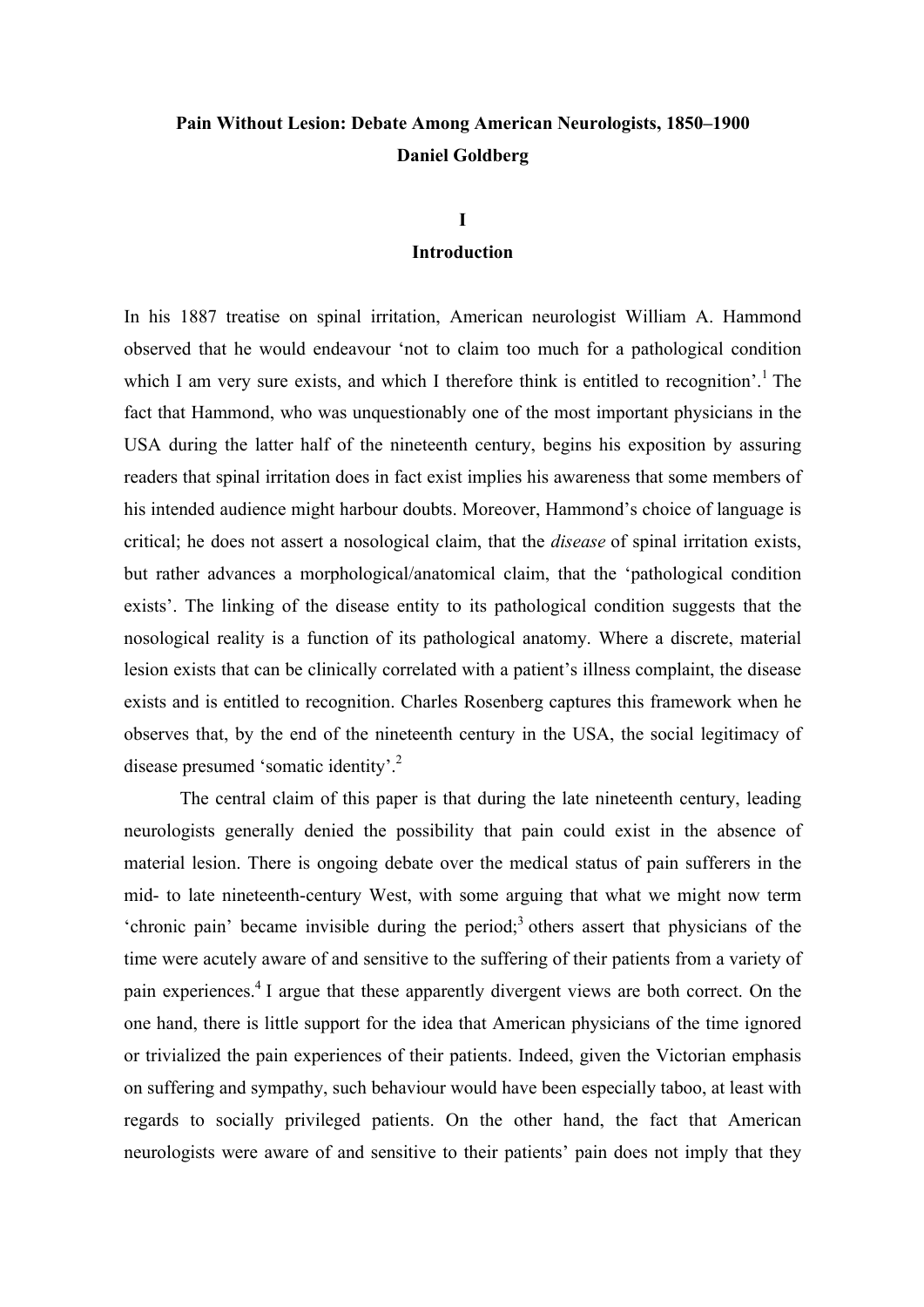# **Pain Without Lesion: Debate Among American Neurologists, 1850–1900 Daniel Goldberg**

## **I**

## **Introduction**

In his 1887 treatise on spinal irritation, American neurologist William A. Hammond observed that he would endeavour 'not to claim too much for a pathological condition which I am very sure exists, and which I therefore think is entitled to recognition'.<sup>1</sup> The fact that Hammond, who was unquestionably one of the most important physicians in the USA during the latter half of the nineteenth century, begins his exposition by assuring readers that spinal irritation does in fact exist implies his awareness that some members of his intended audience might harbour doubts. Moreover, Hammond's choice of language is critical; he does not assert a nosological claim, that the *disease* of spinal irritation exists, but rather advances a morphological/anatomical claim, that the 'pathological condition exists'. The linking of the disease entity to its pathological condition suggests that the nosological reality is a function of its pathological anatomy. Where a discrete, material lesion exists that can be clinically correlated with a patient's illness complaint, the disease exists and is entitled to recognition. Charles Rosenberg captures this framework when he observes that, by the end of the nineteenth century in the USA, the social legitimacy of disease presumed 'somatic identity'.<sup>2</sup>

The central claim of this paper is that during the late nineteenth century, leading neurologists generally denied the possibility that pain could exist in the absence of material lesion. There is ongoing debate over the medical status of pain sufferers in the mid- to late nineteenth-century West, with some arguing that what we might now term 'chronic pain' became invisible during the period;<sup>3</sup> others assert that physicians of the time were acutely aware of and sensitive to the suffering of their patients from a variety of pain experiences.4 I argue that these apparently divergent views are both correct. On the one hand, there is little support for the idea that American physicians of the time ignored or trivialized the pain experiences of their patients. Indeed, given the Victorian emphasis on suffering and sympathy, such behaviour would have been especially taboo, at least with regards to socially privileged patients. On the other hand, the fact that American neurologists were aware of and sensitive to their patients' pain does not imply that they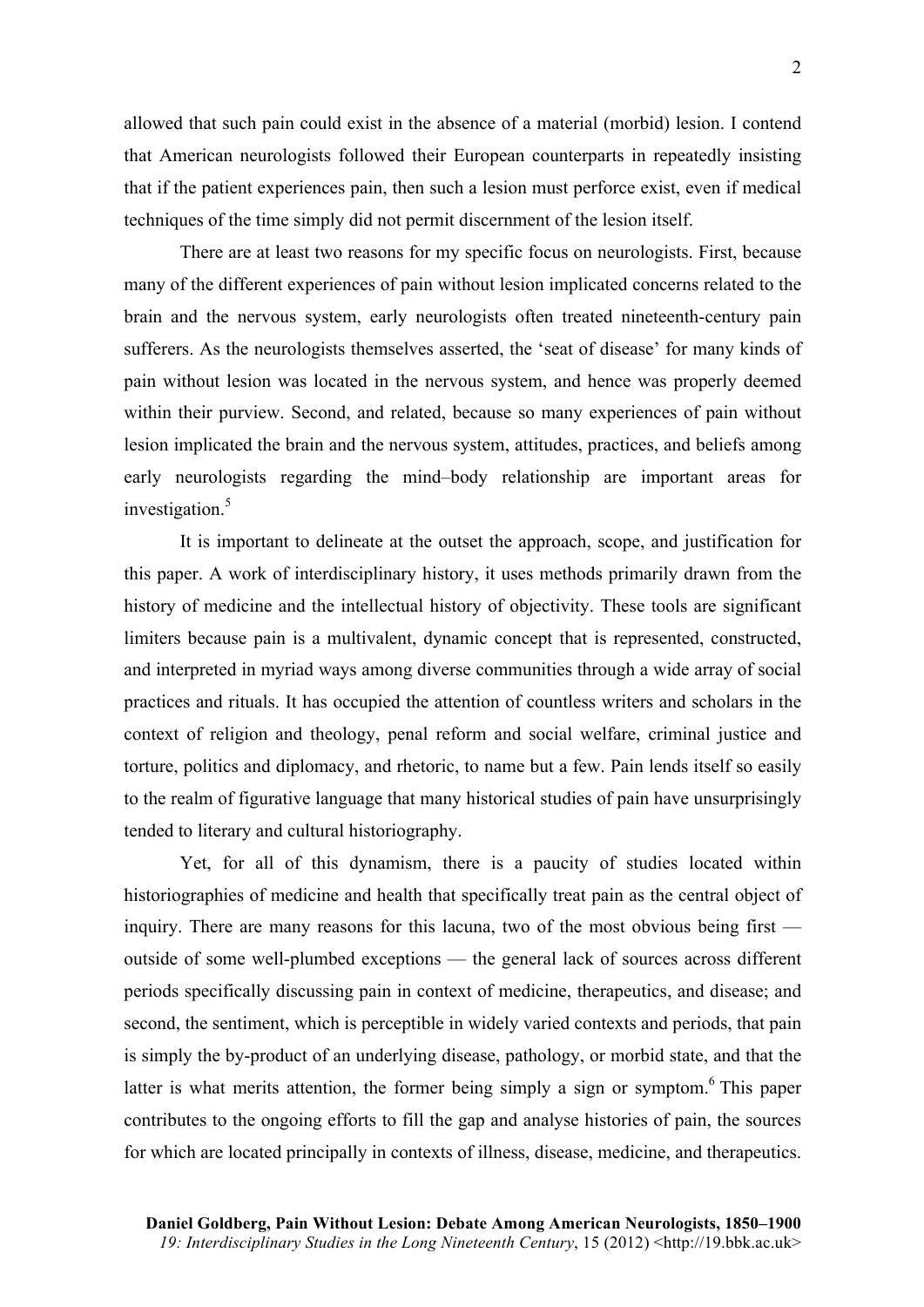allowed that such pain could exist in the absence of a material (morbid) lesion. I contend that American neurologists followed their European counterparts in repeatedly insisting that if the patient experiences pain, then such a lesion must perforce exist, even if medical techniques of the time simply did not permit discernment of the lesion itself.

There are at least two reasons for my specific focus on neurologists. First, because many of the different experiences of pain without lesion implicated concerns related to the brain and the nervous system, early neurologists often treated nineteenth-century pain sufferers. As the neurologists themselves asserted, the 'seat of disease' for many kinds of pain without lesion was located in the nervous system, and hence was properly deemed within their purview. Second, and related, because so many experiences of pain without lesion implicated the brain and the nervous system, attitudes, practices, and beliefs among early neurologists regarding the mind–body relationship are important areas for investigation.<sup>5</sup>

It is important to delineate at the outset the approach, scope, and justification for this paper. A work of interdisciplinary history, it uses methods primarily drawn from the history of medicine and the intellectual history of objectivity. These tools are significant limiters because pain is a multivalent, dynamic concept that is represented, constructed, and interpreted in myriad ways among diverse communities through a wide array of social practices and rituals. It has occupied the attention of countless writers and scholars in the context of religion and theology, penal reform and social welfare, criminal justice and torture, politics and diplomacy, and rhetoric, to name but a few. Pain lends itself so easily to the realm of figurative language that many historical studies of pain have unsurprisingly tended to literary and cultural historiography.

Yet, for all of this dynamism, there is a paucity of studies located within historiographies of medicine and health that specifically treat pain as the central object of inquiry. There are many reasons for this lacuna, two of the most obvious being first outside of some well-plumbed exceptions — the general lack of sources across different periods specifically discussing pain in context of medicine, therapeutics, and disease; and second, the sentiment, which is perceptible in widely varied contexts and periods, that pain is simply the by-product of an underlying disease, pathology, or morbid state, and that the latter is what merits attention, the former being simply a sign or symptom.<sup>6</sup> This paper contributes to the ongoing efforts to fill the gap and analyse histories of pain, the sources for which are located principally in contexts of illness, disease, medicine, and therapeutics.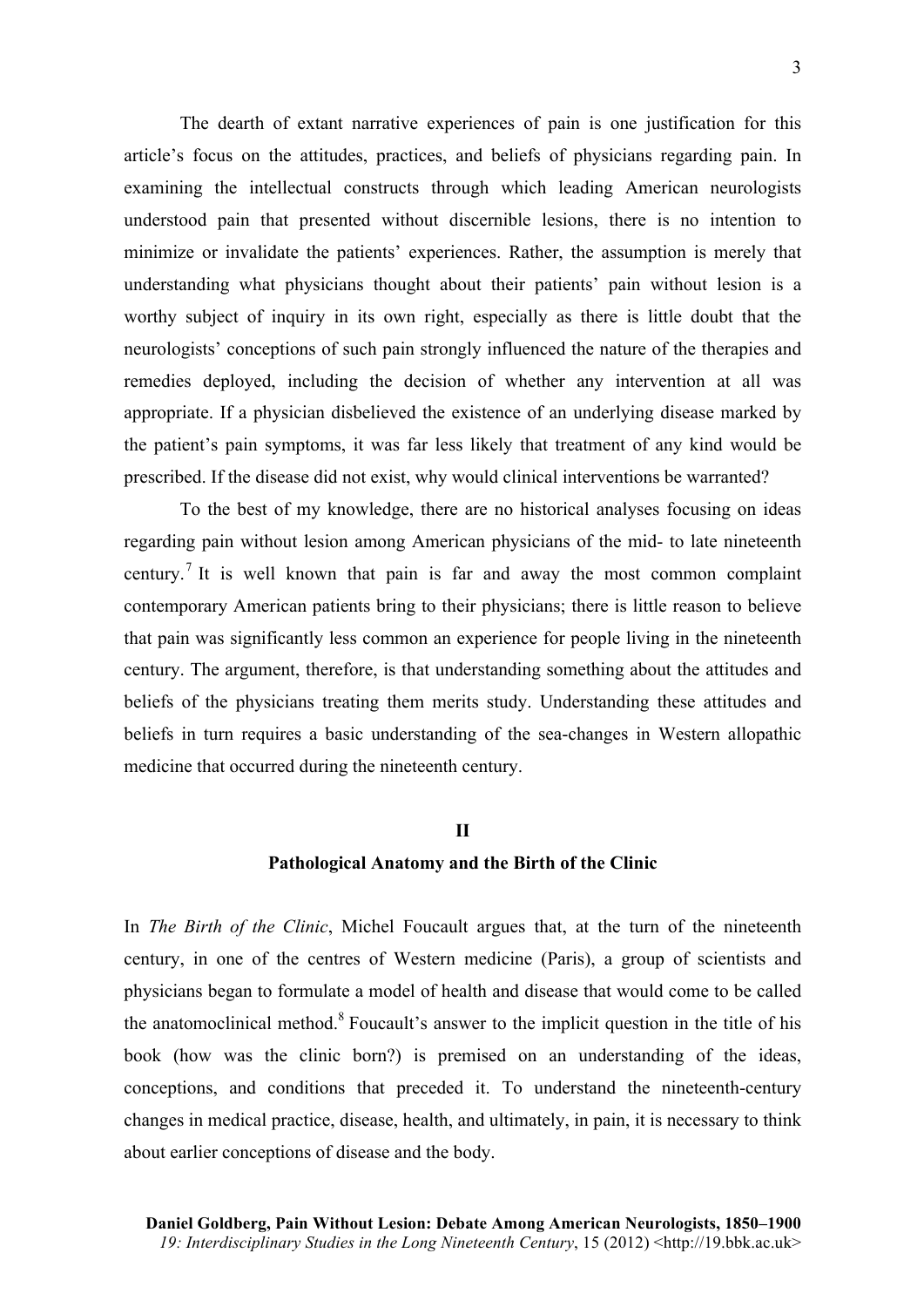The dearth of extant narrative experiences of pain is one justification for this article's focus on the attitudes, practices, and beliefs of physicians regarding pain. In examining the intellectual constructs through which leading American neurologists understood pain that presented without discernible lesions, there is no intention to minimize or invalidate the patients' experiences. Rather, the assumption is merely that understanding what physicians thought about their patients' pain without lesion is a worthy subject of inquiry in its own right, especially as there is little doubt that the neurologists' conceptions of such pain strongly influenced the nature of the therapies and remedies deployed, including the decision of whether any intervention at all was appropriate. If a physician disbelieved the existence of an underlying disease marked by the patient's pain symptoms, it was far less likely that treatment of any kind would be prescribed. If the disease did not exist, why would clinical interventions be warranted?

To the best of my knowledge, there are no historical analyses focusing on ideas regarding pain without lesion among American physicians of the mid- to late nineteenth century.<sup>7</sup> It is well known that pain is far and away the most common complaint contemporary American patients bring to their physicians; there is little reason to believe that pain was significantly less common an experience for people living in the nineteenth century. The argument, therefore, is that understanding something about the attitudes and beliefs of the physicians treating them merits study. Understanding these attitudes and beliefs in turn requires a basic understanding of the sea-changes in Western allopathic medicine that occurred during the nineteenth century.

### **II**

#### **Pathological Anatomy and the Birth of the Clinic**

In *The Birth of the Clinic*, Michel Foucault argues that, at the turn of the nineteenth century, in one of the centres of Western medicine (Paris), a group of scientists and physicians began to formulate a model of health and disease that would come to be called the anatomoclinical method.<sup>8</sup> Foucault's answer to the implicit question in the title of his book (how was the clinic born?) is premised on an understanding of the ideas, conceptions, and conditions that preceded it. To understand the nineteenth-century changes in medical practice, disease, health, and ultimately, in pain, it is necessary to think about earlier conceptions of disease and the body.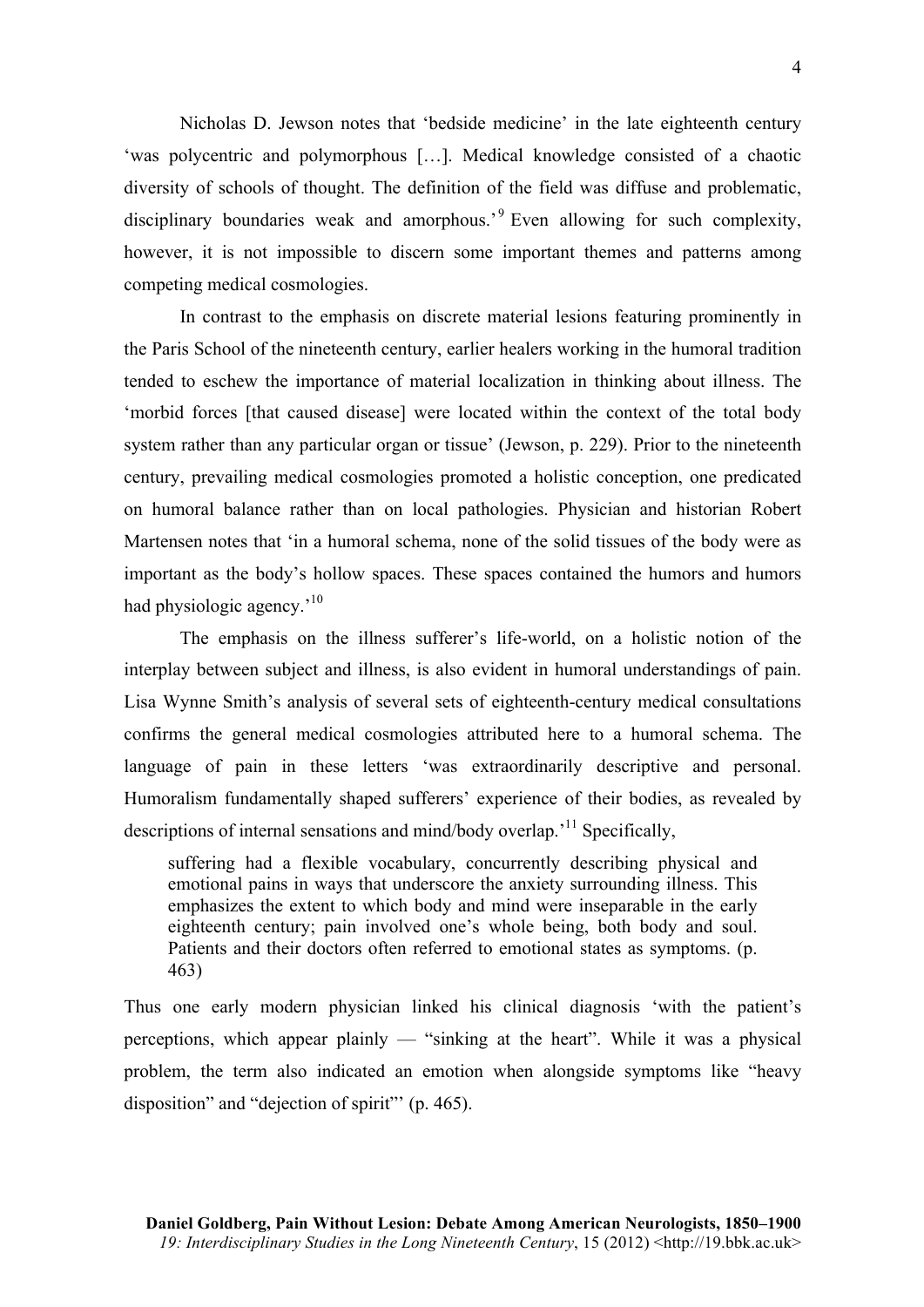Nicholas D. Jewson notes that 'bedside medicine' in the late eighteenth century 'was polycentric and polymorphous […]. Medical knowledge consisted of a chaotic diversity of schools of thought. The definition of the field was diffuse and problematic, disciplinary boundaries weak and amorphous.<sup>9</sup> Even allowing for such complexity, however, it is not impossible to discern some important themes and patterns among competing medical cosmologies.

In contrast to the emphasis on discrete material lesions featuring prominently in the Paris School of the nineteenth century, earlier healers working in the humoral tradition tended to eschew the importance of material localization in thinking about illness. The 'morbid forces [that caused disease] were located within the context of the total body system rather than any particular organ or tissue' (Jewson, p. 229). Prior to the nineteenth century, prevailing medical cosmologies promoted a holistic conception, one predicated on humoral balance rather than on local pathologies. Physician and historian Robert Martensen notes that 'in a humoral schema, none of the solid tissues of the body were as important as the body's hollow spaces. These spaces contained the humors and humors had physiologic agency.<sup>'10</sup>

The emphasis on the illness sufferer's life-world, on a holistic notion of the interplay between subject and illness, is also evident in humoral understandings of pain. Lisa Wynne Smith's analysis of several sets of eighteenth-century medical consultations confirms the general medical cosmologies attributed here to a humoral schema. The language of pain in these letters 'was extraordinarily descriptive and personal. Humoralism fundamentally shaped sufferers' experience of their bodies, as revealed by descriptions of internal sensations and mind/body overlap.<sup>11</sup> Specifically,

suffering had a flexible vocabulary, concurrently describing physical and emotional pains in ways that underscore the anxiety surrounding illness. This emphasizes the extent to which body and mind were inseparable in the early eighteenth century; pain involved one's whole being, both body and soul. Patients and their doctors often referred to emotional states as symptoms. (p. 463)

Thus one early modern physician linked his clinical diagnosis 'with the patient's perceptions, which appear plainly — "sinking at the heart". While it was a physical problem, the term also indicated an emotion when alongside symptoms like "heavy disposition" and "dejection of spirit"' (p. 465).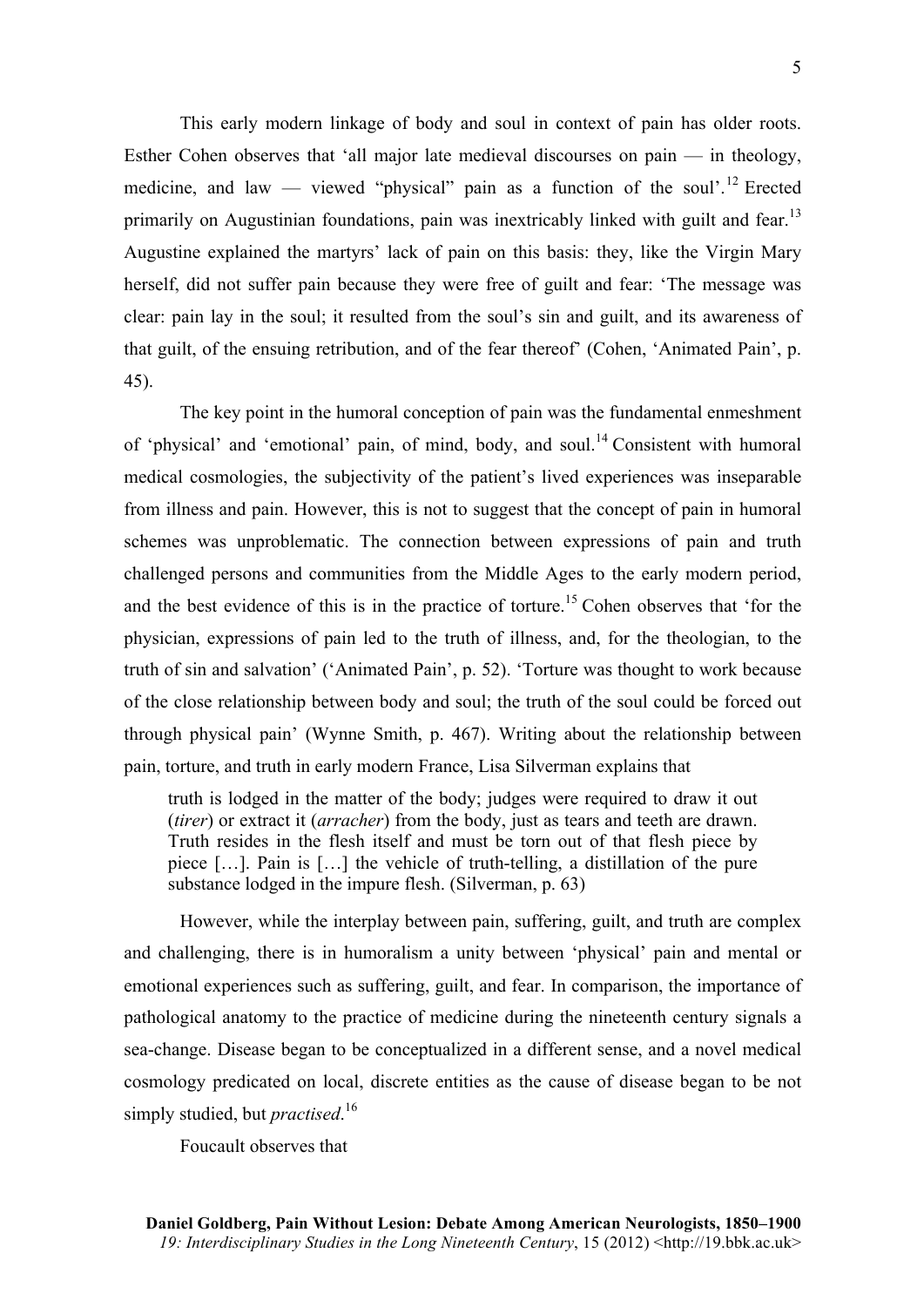This early modern linkage of body and soul in context of pain has older roots. Esther Cohen observes that 'all major late medieval discourses on pain — in theology, medicine, and law — viewed "physical" pain as a function of the soul'.<sup>12</sup> Erected primarily on Augustinian foundations, pain was inextricably linked with guilt and fear.<sup>13</sup> Augustine explained the martyrs' lack of pain on this basis: they, like the Virgin Mary herself, did not suffer pain because they were free of guilt and fear: 'The message was clear: pain lay in the soul; it resulted from the soul's sin and guilt, and its awareness of that guilt, of the ensuing retribution, and of the fear thereof' (Cohen, 'Animated Pain', p. 45).

The key point in the humoral conception of pain was the fundamental enmeshment of 'physical' and 'emotional' pain, of mind, body, and soul.<sup>14</sup> Consistent with humoral medical cosmologies, the subjectivity of the patient's lived experiences was inseparable from illness and pain. However, this is not to suggest that the concept of pain in humoral schemes was unproblematic. The connection between expressions of pain and truth challenged persons and communities from the Middle Ages to the early modern period, and the best evidence of this is in the practice of torture.<sup>15</sup> Cohen observes that 'for the physician, expressions of pain led to the truth of illness, and, for the theologian, to the truth of sin and salvation' ('Animated Pain', p. 52). 'Torture was thought to work because of the close relationship between body and soul; the truth of the soul could be forced out through physical pain' (Wynne Smith, p. 467). Writing about the relationship between pain, torture, and truth in early modern France, Lisa Silverman explains that

truth is lodged in the matter of the body; judges were required to draw it out (*tirer*) or extract it (*arracher*) from the body, just as tears and teeth are drawn. Truth resides in the flesh itself and must be torn out of that flesh piece by piece […]. Pain is […] the vehicle of truth-telling, a distillation of the pure substance lodged in the impure flesh. (Silverman, p. 63)

However, while the interplay between pain, suffering, guilt, and truth are complex and challenging, there is in humoralism a unity between 'physical' pain and mental or emotional experiences such as suffering, guilt, and fear. In comparison, the importance of pathological anatomy to the practice of medicine during the nineteenth century signals a sea-change. Disease began to be conceptualized in a different sense, and a novel medical cosmology predicated on local, discrete entities as the cause of disease began to be not simply studied, but *practised*. 16

Foucault observes that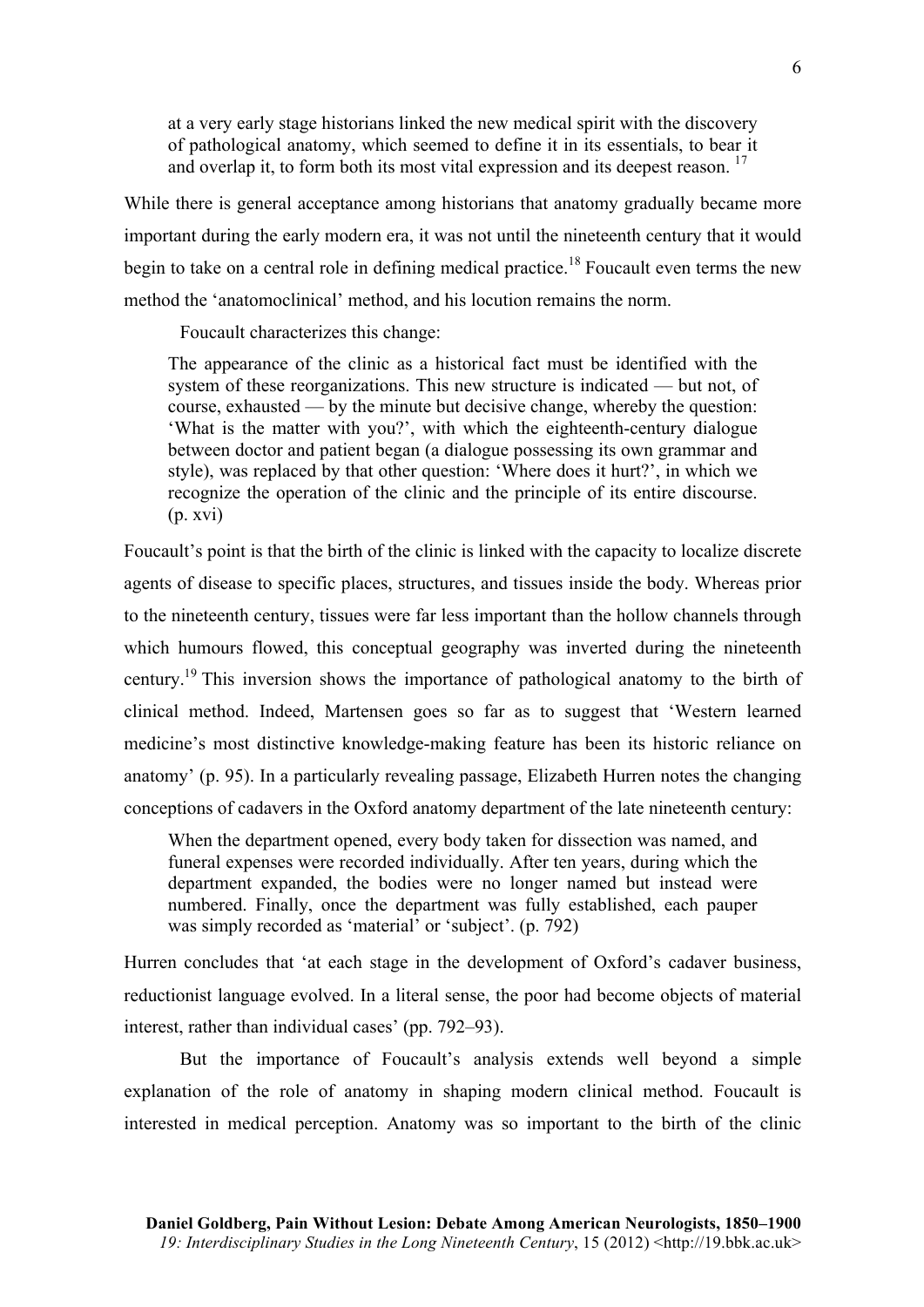at a very early stage historians linked the new medical spirit with the discovery of pathological anatomy, which seemed to define it in its essentials, to bear it and overlap it, to form both its most vital expression and its deepest reason.  $17$ 

While there is general acceptance among historians that anatomy gradually became more important during the early modern era, it was not until the nineteenth century that it would begin to take on a central role in defining medical practice.<sup>18</sup> Foucault even terms the new method the 'anatomoclinical' method, and his locution remains the norm.

Foucault characterizes this change:

The appearance of the clinic as a historical fact must be identified with the system of these reorganizations. This new structure is indicated — but not, of course, exhausted — by the minute but decisive change, whereby the question: 'What is the matter with you?', with which the eighteenth-century dialogue between doctor and patient began (a dialogue possessing its own grammar and style), was replaced by that other question: 'Where does it hurt?', in which we recognize the operation of the clinic and the principle of its entire discourse. (p. xvi)

Foucault's point is that the birth of the clinic is linked with the capacity to localize discrete agents of disease to specific places, structures, and tissues inside the body. Whereas prior to the nineteenth century, tissues were far less important than the hollow channels through which humours flowed, this conceptual geography was inverted during the nineteenth century.<sup>19</sup> This inversion shows the importance of pathological anatomy to the birth of clinical method. Indeed, Martensen goes so far as to suggest that 'Western learned medicine's most distinctive knowledge-making feature has been its historic reliance on anatomy' (p. 95). In a particularly revealing passage, Elizabeth Hurren notes the changing conceptions of cadavers in the Oxford anatomy department of the late nineteenth century:

When the department opened, every body taken for dissection was named, and funeral expenses were recorded individually. After ten years, during which the department expanded, the bodies were no longer named but instead were numbered. Finally, once the department was fully established, each pauper was simply recorded as 'material' or 'subject'. (p. 792)

Hurren concludes that 'at each stage in the development of Oxford's cadaver business, reductionist language evolved. In a literal sense, the poor had become objects of material interest, rather than individual cases' (pp. 792–93).

But the importance of Foucault's analysis extends well beyond a simple explanation of the role of anatomy in shaping modern clinical method. Foucault is interested in medical perception. Anatomy was so important to the birth of the clinic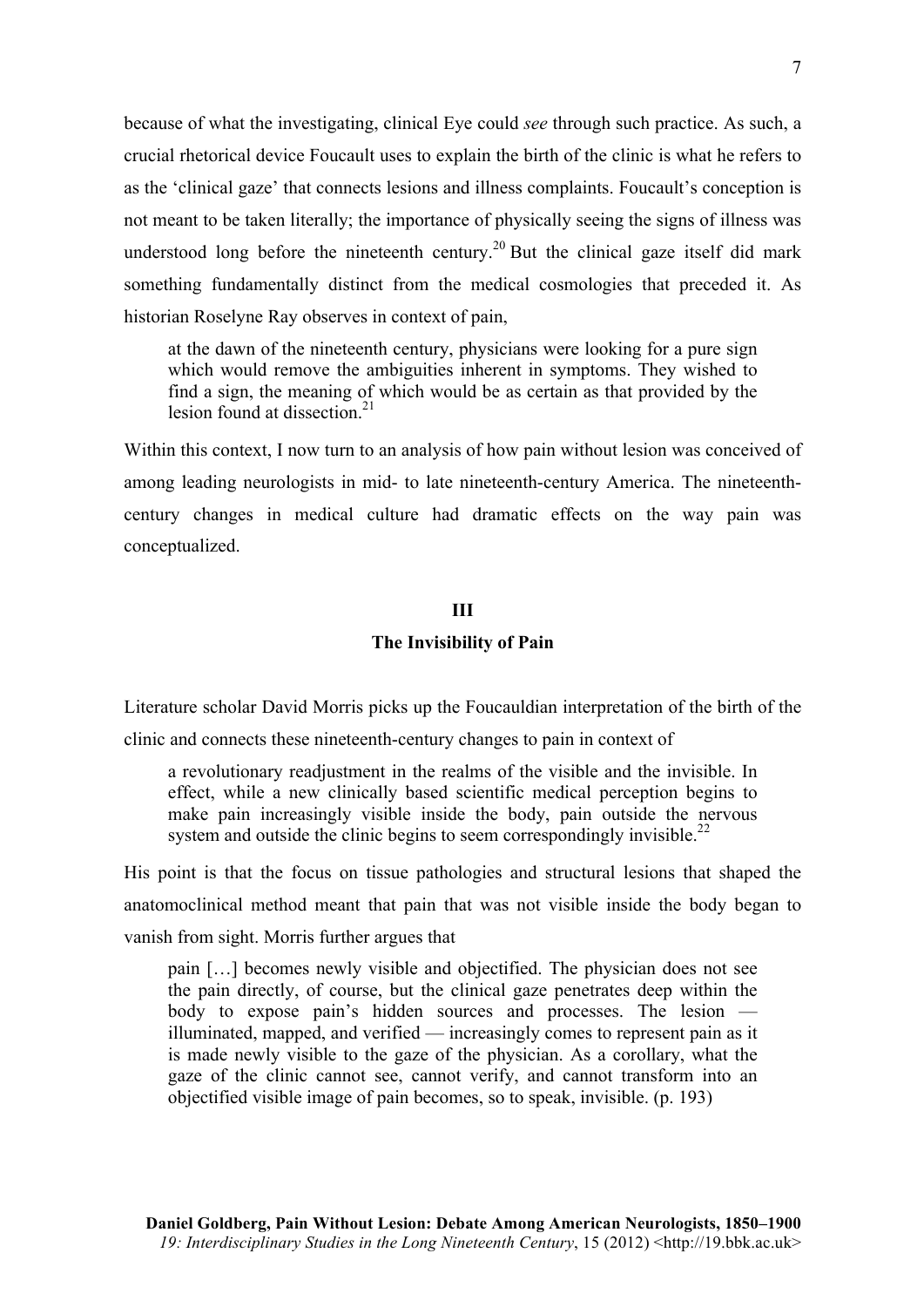because of what the investigating, clinical Eye could *see* through such practice. As such, a crucial rhetorical device Foucault uses to explain the birth of the clinic is what he refers to as the 'clinical gaze' that connects lesions and illness complaints. Foucault's conception is not meant to be taken literally; the importance of physically seeing the signs of illness was understood long before the nineteenth century.<sup>20</sup> But the clinical gaze itself did mark something fundamentally distinct from the medical cosmologies that preceded it. As historian Roselyne Ray observes in context of pain,

at the dawn of the nineteenth century, physicians were looking for a pure sign which would remove the ambiguities inherent in symptoms. They wished to find a sign, the meaning of which would be as certain as that provided by the lesion found at dissection  $21$ 

Within this context, I now turn to an analysis of how pain without lesion was conceived of among leading neurologists in mid- to late nineteenth-century America. The nineteenthcentury changes in medical culture had dramatic effects on the way pain was conceptualized.

## **III**

## **The Invisibility of Pain**

Literature scholar David Morris picks up the Foucauldian interpretation of the birth of the clinic and connects these nineteenth-century changes to pain in context of

a revolutionary readjustment in the realms of the visible and the invisible. In effect, while a new clinically based scientific medical perception begins to make pain increasingly visible inside the body, pain outside the nervous system and outside the clinic begins to seem correspondingly invisible.<sup>22</sup>

His point is that the focus on tissue pathologies and structural lesions that shaped the anatomoclinical method meant that pain that was not visible inside the body began to vanish from sight. Morris further argues that

pain […] becomes newly visible and objectified. The physician does not see the pain directly, of course, but the clinical gaze penetrates deep within the body to expose pain's hidden sources and processes. The lesion illuminated, mapped, and verified — increasingly comes to represent pain as it is made newly visible to the gaze of the physician. As a corollary, what the gaze of the clinic cannot see, cannot verify, and cannot transform into an objectified visible image of pain becomes, so to speak, invisible. (p. 193)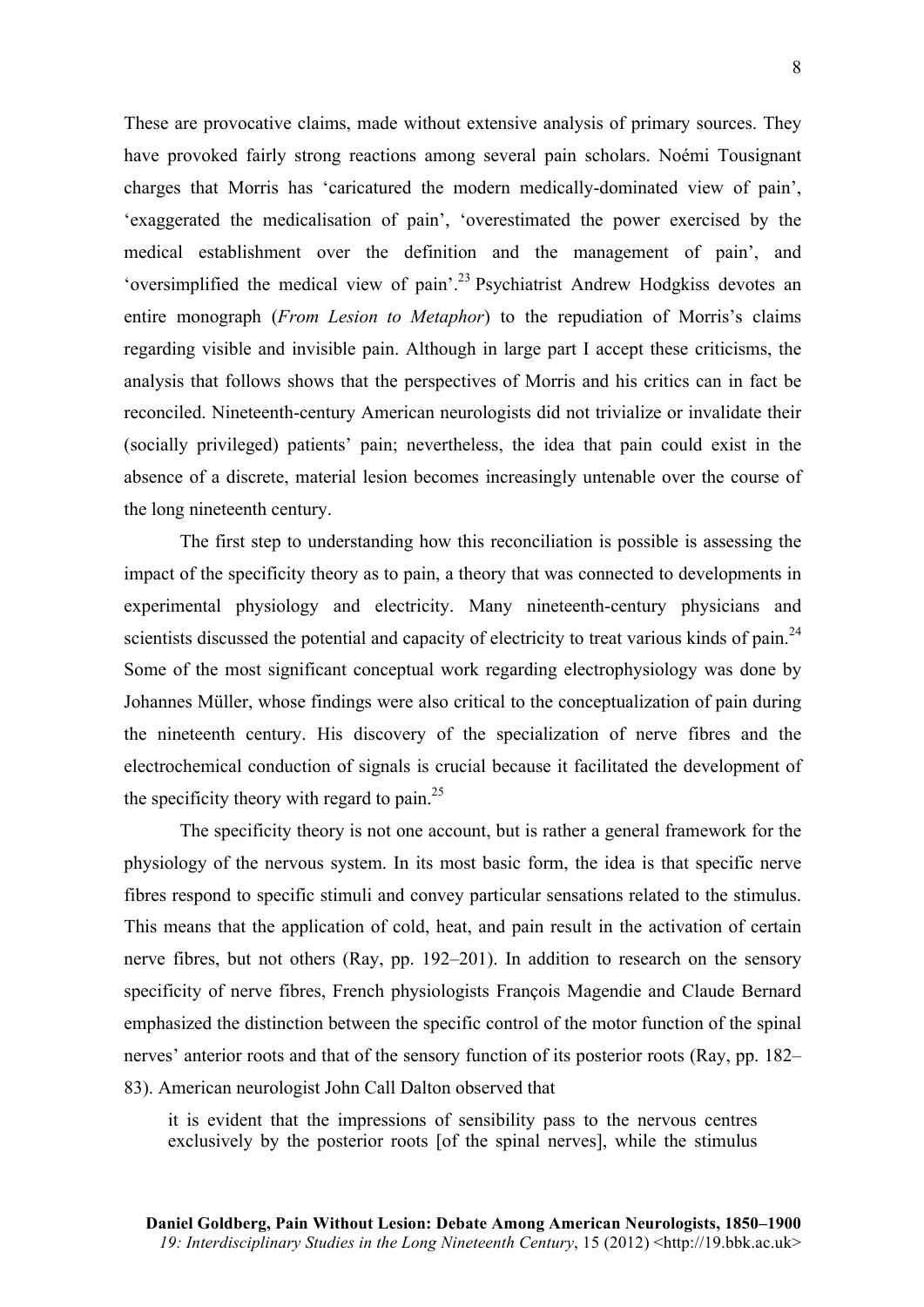These are provocative claims, made without extensive analysis of primary sources. They have provoked fairly strong reactions among several pain scholars. Noémi Tousignant charges that Morris has 'caricatured the modern medically-dominated view of pain', 'exaggerated the medicalisation of pain', 'overestimated the power exercised by the medical establishment over the definition and the management of pain', and 'oversimplified the medical view of pain'.<sup>23</sup> Psychiatrist Andrew Hodgkiss devotes an entire monograph (*From Lesion to Metaphor*) to the repudiation of Morris's claims regarding visible and invisible pain. Although in large part I accept these criticisms, the analysis that follows shows that the perspectives of Morris and his critics can in fact be reconciled. Nineteenth-century American neurologists did not trivialize or invalidate their (socially privileged) patients' pain; nevertheless, the idea that pain could exist in the absence of a discrete, material lesion becomes increasingly untenable over the course of the long nineteenth century.

The first step to understanding how this reconciliation is possible is assessing the impact of the specificity theory as to pain, a theory that was connected to developments in experimental physiology and electricity. Many nineteenth-century physicians and scientists discussed the potential and capacity of electricity to treat various kinds of pain.<sup>24</sup> Some of the most significant conceptual work regarding electrophysiology was done by Johannes Müller, whose findings were also critical to the conceptualization of pain during the nineteenth century. His discovery of the specialization of nerve fibres and the electrochemical conduction of signals is crucial because it facilitated the development of the specificity theory with regard to pain. $2<sup>5</sup>$ 

The specificity theory is not one account, but is rather a general framework for the physiology of the nervous system. In its most basic form, the idea is that specific nerve fibres respond to specific stimuli and convey particular sensations related to the stimulus. This means that the application of cold, heat, and pain result in the activation of certain nerve fibres, but not others (Ray, pp. 192–201). In addition to research on the sensory specificity of nerve fibres, French physiologists François Magendie and Claude Bernard emphasized the distinction between the specific control of the motor function of the spinal nerves' anterior roots and that of the sensory function of its posterior roots (Ray, pp. 182– 83). American neurologist John Call Dalton observed that

it is evident that the impressions of sensibility pass to the nervous centres exclusively by the posterior roots [of the spinal nerves], while the stimulus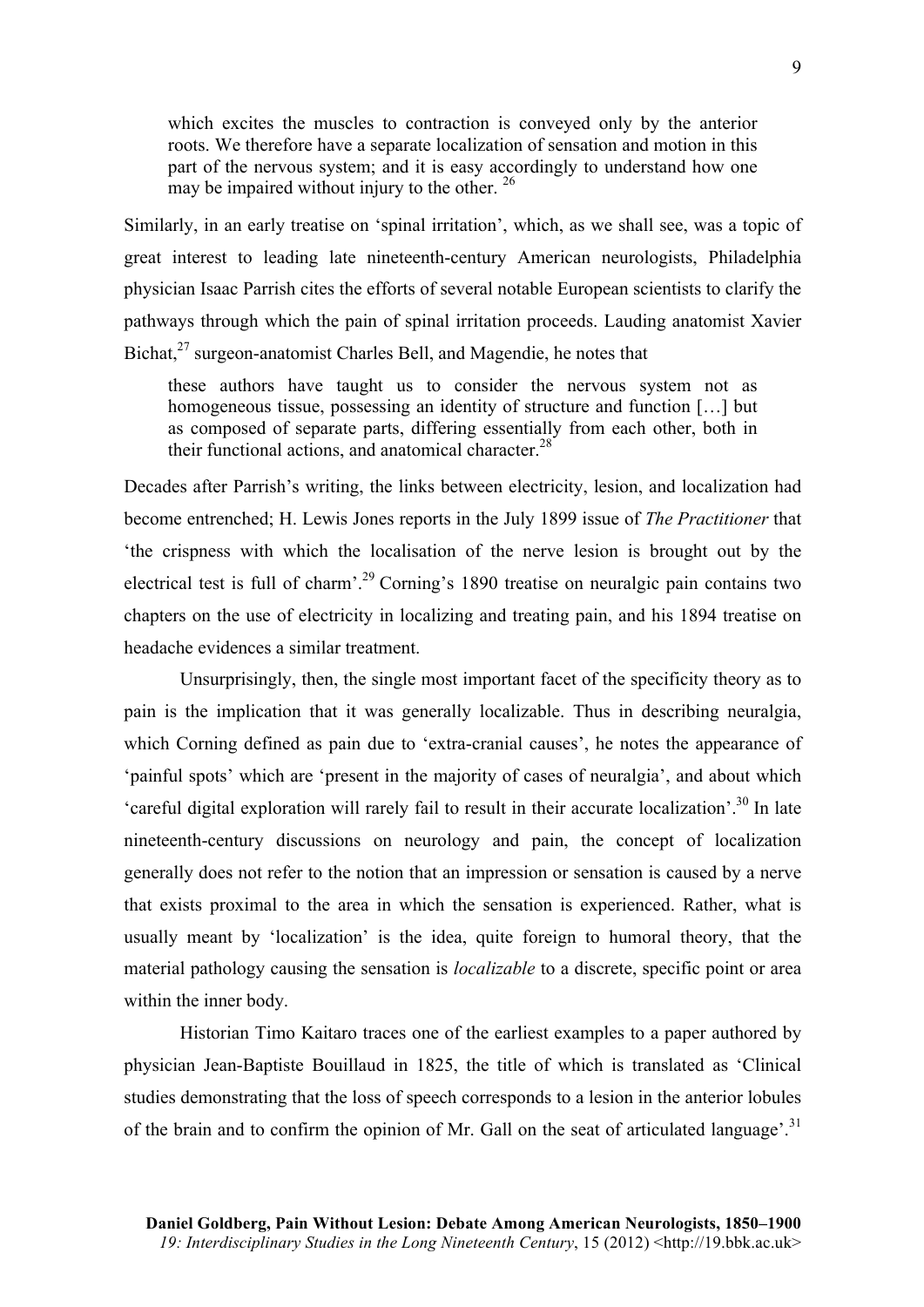which excites the muscles to contraction is conveyed only by the anterior roots. We therefore have a separate localization of sensation and motion in this part of the nervous system; and it is easy accordingly to understand how one may be impaired without injury to the other. <sup>26</sup>

Similarly, in an early treatise on 'spinal irritation', which, as we shall see, was a topic of great interest to leading late nineteenth-century American neurologists, Philadelphia physician Isaac Parrish cites the efforts of several notable European scientists to clarify the pathways through which the pain of spinal irritation proceeds. Lauding anatomist Xavier Bichat, $27$  surgeon-anatomist Charles Bell, and Magendie, he notes that

these authors have taught us to consider the nervous system not as homogeneous tissue, possessing an identity of structure and function [...] but as composed of separate parts, differing essentially from each other, both in their functional actions, and anatomical character.<sup>28</sup>

Decades after Parrish's writing, the links between electricity, lesion, and localization had become entrenched; H. Lewis Jones reports in the July 1899 issue of *The Practitioner* that 'the crispness with which the localisation of the nerve lesion is brought out by the electrical test is full of charm<sup>' 29</sup> Corning's 1890 treatise on neuralgic pain contains two chapters on the use of electricity in localizing and treating pain, and his 1894 treatise on headache evidences a similar treatment.

Unsurprisingly, then, the single most important facet of the specificity theory as to pain is the implication that it was generally localizable. Thus in describing neuralgia, which Corning defined as pain due to 'extra-cranial causes', he notes the appearance of 'painful spots' which are 'present in the majority of cases of neuralgia', and about which 'careful digital exploration will rarely fail to result in their accurate localization'.<sup>30</sup> In late nineteenth-century discussions on neurology and pain, the concept of localization generally does not refer to the notion that an impression or sensation is caused by a nerve that exists proximal to the area in which the sensation is experienced. Rather, what is usually meant by 'localization' is the idea, quite foreign to humoral theory, that the material pathology causing the sensation is *localizable* to a discrete, specific point or area within the inner body.

Historian Timo Kaitaro traces one of the earliest examples to a paper authored by physician Jean-Baptiste Bouillaud in 1825, the title of which is translated as 'Clinical studies demonstrating that the loss of speech corresponds to a lesion in the anterior lobules of the brain and to confirm the opinion of Mr. Gall on the seat of articulated language'.<sup>31</sup>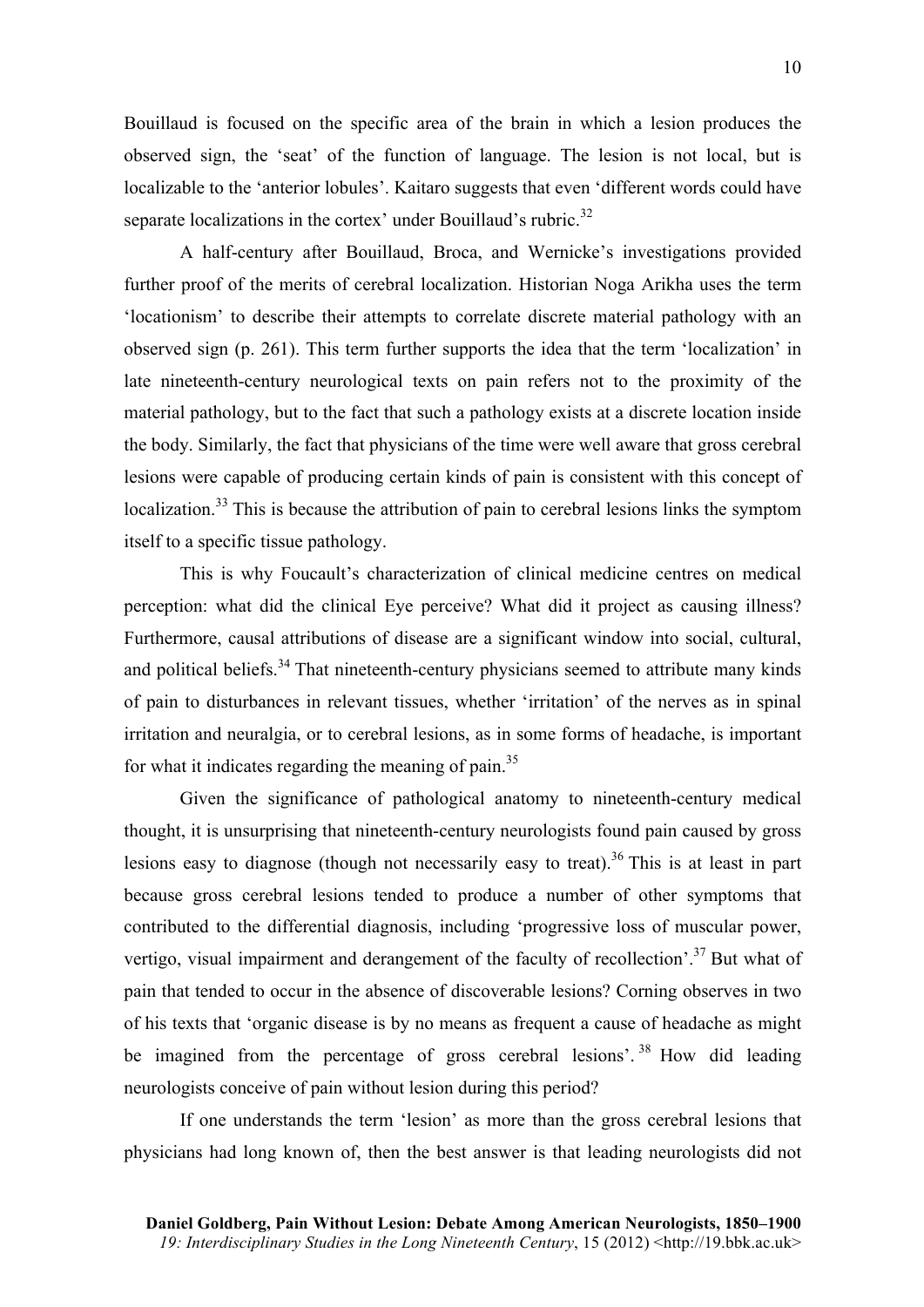Bouillaud is focused on the specific area of the brain in which a lesion produces the observed sign, the 'seat' of the function of language. The lesion is not local, but is localizable to the 'anterior lobules'. Kaitaro suggests that even 'different words could have separate localizations in the cortex' under Bouillaud's rubric.<sup>32</sup>

A half-century after Bouillaud, Broca, and Wernicke's investigations provided further proof of the merits of cerebral localization. Historian Noga Arikha uses the term 'locationism' to describe their attempts to correlate discrete material pathology with an observed sign (p. 261). This term further supports the idea that the term 'localization' in late nineteenth-century neurological texts on pain refers not to the proximity of the material pathology, but to the fact that such a pathology exists at a discrete location inside the body. Similarly, the fact that physicians of the time were well aware that gross cerebral lesions were capable of producing certain kinds of pain is consistent with this concept of localization.<sup>33</sup> This is because the attribution of pain to cerebral lesions links the symptom itself to a specific tissue pathology.

This is why Foucault's characterization of clinical medicine centres on medical perception: what did the clinical Eye perceive? What did it project as causing illness? Furthermore, causal attributions of disease are a significant window into social, cultural, and political beliefs.<sup>34</sup> That nineteenth-century physicians seemed to attribute many kinds of pain to disturbances in relevant tissues, whether 'irritation' of the nerves as in spinal irritation and neuralgia, or to cerebral lesions, as in some forms of headache, is important for what it indicates regarding the meaning of pain.<sup>35</sup>

Given the significance of pathological anatomy to nineteenth-century medical thought, it is unsurprising that nineteenth-century neurologists found pain caused by gross lesions easy to diagnose (though not necessarily easy to treat).<sup>36</sup> This is at least in part because gross cerebral lesions tended to produce a number of other symptoms that contributed to the differential diagnosis, including 'progressive loss of muscular power, vertigo, visual impairment and derangement of the faculty of recollection'.<sup>37</sup> But what of pain that tended to occur in the absence of discoverable lesions? Corning observes in two of his texts that 'organic disease is by no means as frequent a cause of headache as might be imagined from the percentage of gross cerebral lesions'.<sup>38</sup> How did leading neurologists conceive of pain without lesion during this period?

If one understands the term 'lesion' as more than the gross cerebral lesions that physicians had long known of, then the best answer is that leading neurologists did not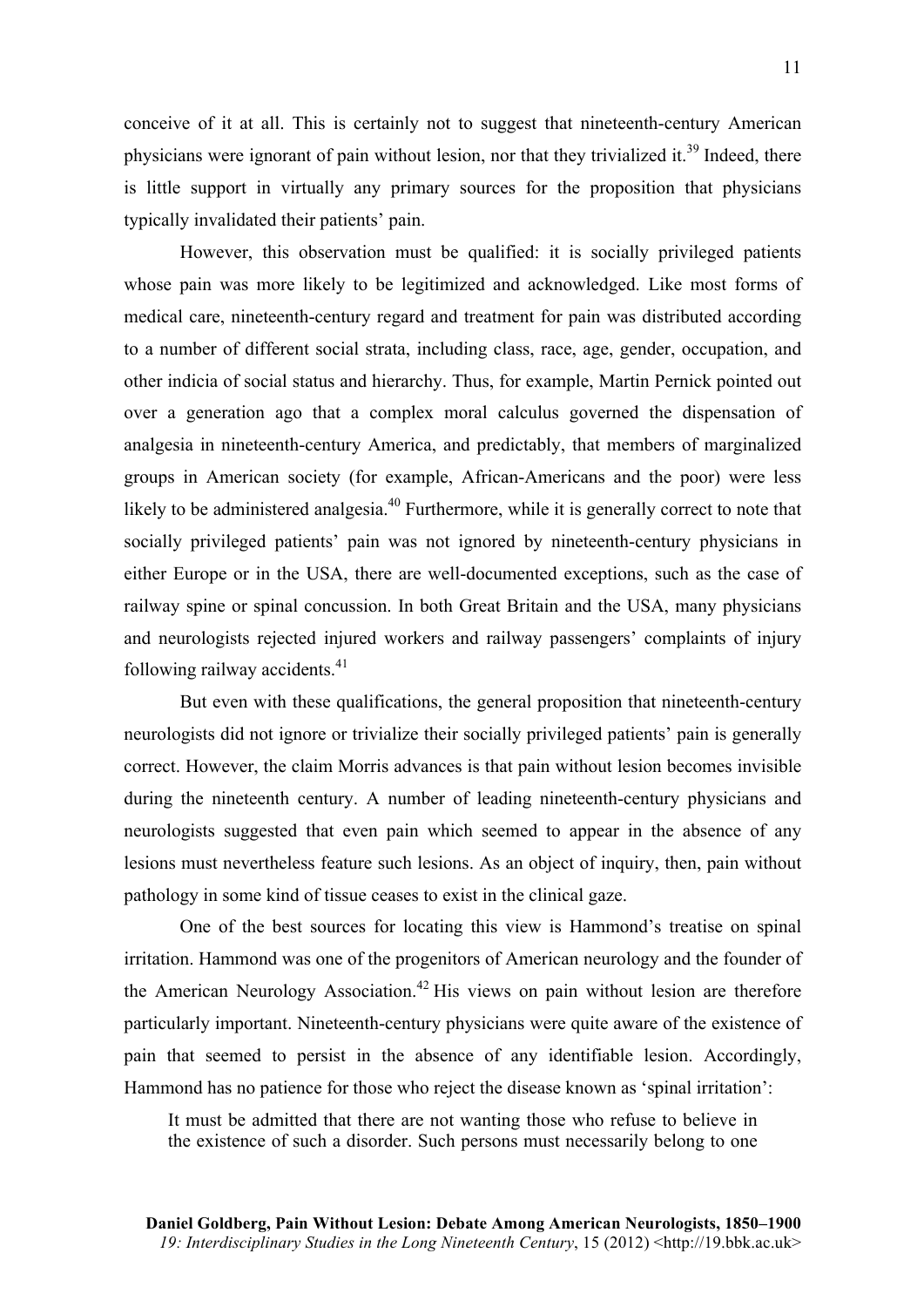conceive of it at all. This is certainly not to suggest that nineteenth-century American physicians were ignorant of pain without lesion, nor that they trivialized it.<sup>39</sup> Indeed, there is little support in virtually any primary sources for the proposition that physicians typically invalidated their patients' pain.

However, this observation must be qualified: it is socially privileged patients whose pain was more likely to be legitimized and acknowledged. Like most forms of medical care, nineteenth-century regard and treatment for pain was distributed according to a number of different social strata, including class, race, age, gender, occupation, and other indicia of social status and hierarchy. Thus, for example, Martin Pernick pointed out over a generation ago that a complex moral calculus governed the dispensation of analgesia in nineteenth-century America, and predictably, that members of marginalized groups in American society (for example, African-Americans and the poor) were less likely to be administered analgesia.<sup>40</sup> Furthermore, while it is generally correct to note that socially privileged patients' pain was not ignored by nineteenth-century physicians in either Europe or in the USA, there are well-documented exceptions, such as the case of railway spine or spinal concussion. In both Great Britain and the USA, many physicians and neurologists rejected injured workers and railway passengers' complaints of injury following railway accidents. $41$ 

But even with these qualifications, the general proposition that nineteenth-century neurologists did not ignore or trivialize their socially privileged patients' pain is generally correct. However, the claim Morris advances is that pain without lesion becomes invisible during the nineteenth century. A number of leading nineteenth-century physicians and neurologists suggested that even pain which seemed to appear in the absence of any lesions must nevertheless feature such lesions. As an object of inquiry, then, pain without pathology in some kind of tissue ceases to exist in the clinical gaze.

One of the best sources for locating this view is Hammond's treatise on spinal irritation. Hammond was one of the progenitors of American neurology and the founder of the American Neurology Association.<sup>42</sup> His views on pain without lesion are therefore particularly important. Nineteenth-century physicians were quite aware of the existence of pain that seemed to persist in the absence of any identifiable lesion. Accordingly, Hammond has no patience for those who reject the disease known as 'spinal irritation':

It must be admitted that there are not wanting those who refuse to believe in the existence of such a disorder. Such persons must necessarily belong to one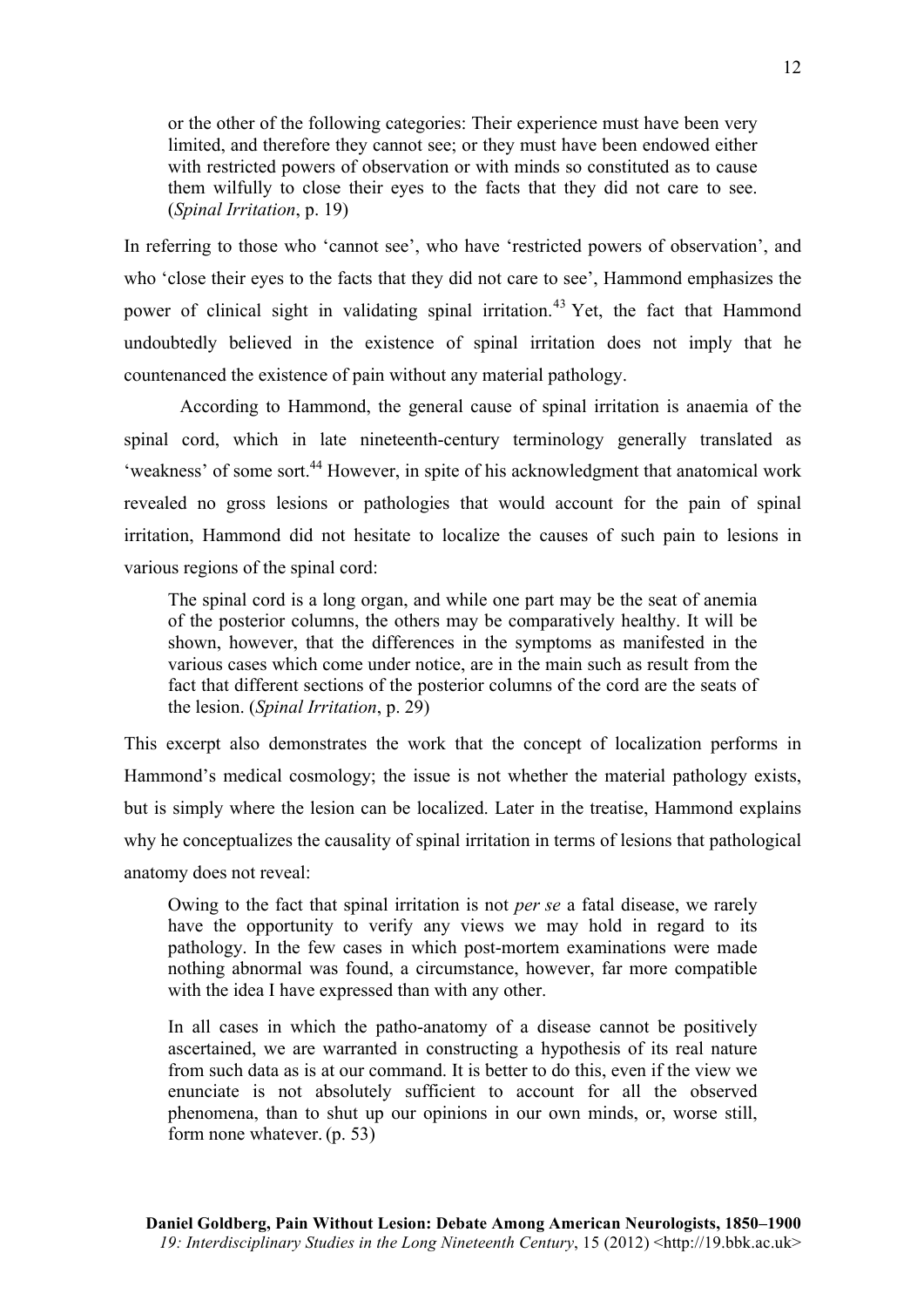or the other of the following categories: Their experience must have been very limited, and therefore they cannot see; or they must have been endowed either with restricted powers of observation or with minds so constituted as to cause them wilfully to close their eyes to the facts that they did not care to see. (*Spinal Irritation*, p. 19)

In referring to those who 'cannot see', who have 'restricted powers of observation', and who 'close their eyes to the facts that they did not care to see', Hammond emphasizes the power of clinical sight in validating spinal irritation.<sup>43</sup> Yet, the fact that Hammond undoubtedly believed in the existence of spinal irritation does not imply that he countenanced the existence of pain without any material pathology.

According to Hammond, the general cause of spinal irritation is anaemia of the spinal cord, which in late nineteenth-century terminology generally translated as 'weakness' of some sort.<sup>44</sup> However, in spite of his acknowledgment that anatomical work revealed no gross lesions or pathologies that would account for the pain of spinal irritation, Hammond did not hesitate to localize the causes of such pain to lesions in various regions of the spinal cord:

The spinal cord is a long organ, and while one part may be the seat of anemia of the posterior columns, the others may be comparatively healthy. It will be shown, however, that the differences in the symptoms as manifested in the various cases which come under notice, are in the main such as result from the fact that different sections of the posterior columns of the cord are the seats of the lesion. (*Spinal Irritation*, p. 29)

This excerpt also demonstrates the work that the concept of localization performs in Hammond's medical cosmology; the issue is not whether the material pathology exists, but is simply where the lesion can be localized. Later in the treatise, Hammond explains why he conceptualizes the causality of spinal irritation in terms of lesions that pathological anatomy does not reveal:

Owing to the fact that spinal irritation is not *per se* a fatal disease, we rarely have the opportunity to verify any views we may hold in regard to its pathology. In the few cases in which post-mortem examinations were made nothing abnormal was found, a circumstance, however, far more compatible with the idea I have expressed than with any other.

In all cases in which the patho-anatomy of a disease cannot be positively ascertained, we are warranted in constructing a hypothesis of its real nature from such data as is at our command. It is better to do this, even if the view we enunciate is not absolutely sufficient to account for all the observed phenomena, than to shut up our opinions in our own minds, or, worse still, form none whatever. (p. 53)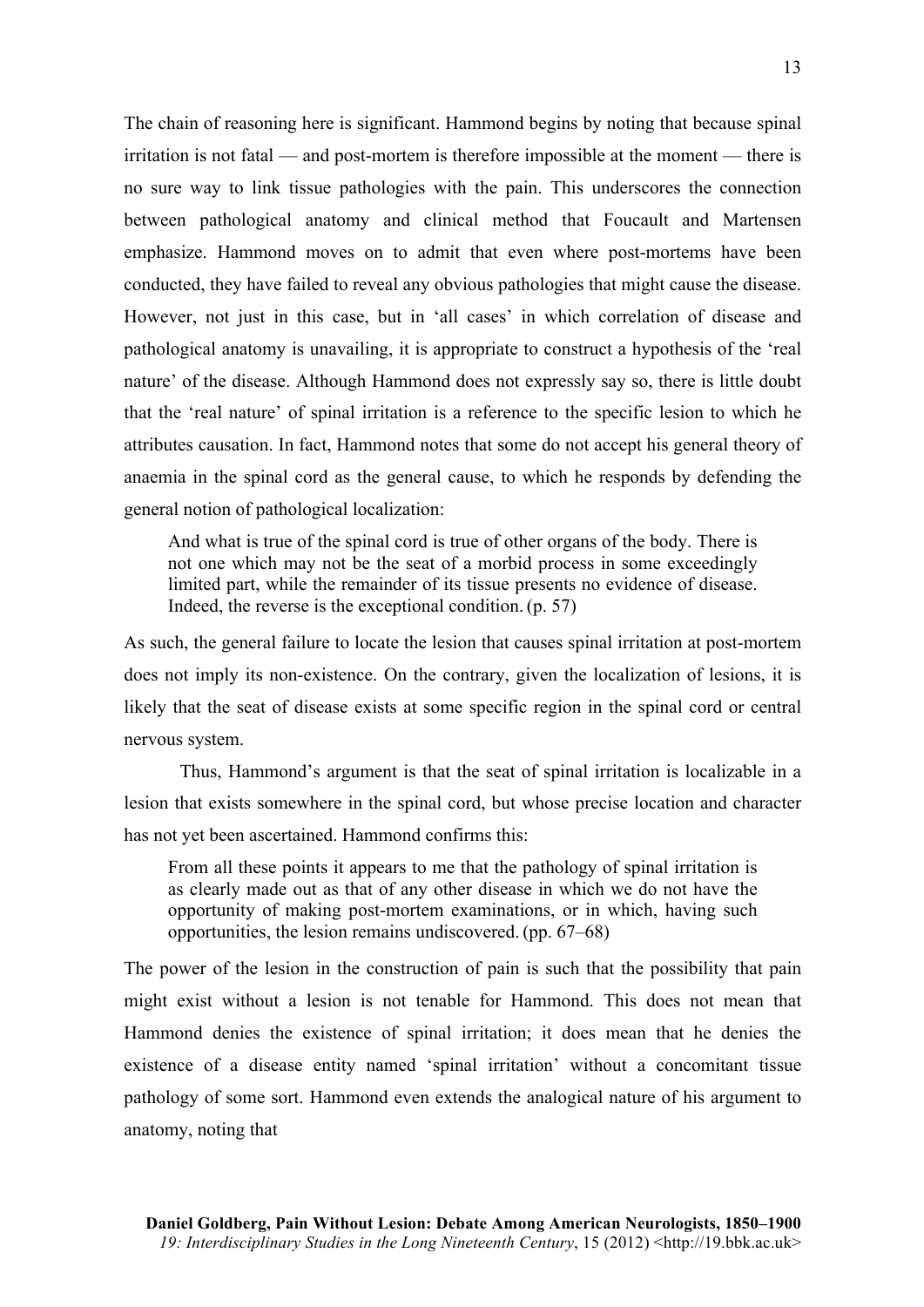The chain of reasoning here is significant. Hammond begins by noting that because spinal irritation is not fatal — and post-mortem is therefore impossible at the moment — there is no sure way to link tissue pathologies with the pain. This underscores the connection between pathological anatomy and clinical method that Foucault and Martensen emphasize. Hammond moves on to admit that even where post-mortems have been conducted, they have failed to reveal any obvious pathologies that might cause the disease. However, not just in this case, but in 'all cases' in which correlation of disease and pathological anatomy is unavailing, it is appropriate to construct a hypothesis of the 'real nature' of the disease. Although Hammond does not expressly say so, there is little doubt that the 'real nature' of spinal irritation is a reference to the specific lesion to which he attributes causation. In fact, Hammond notes that some do not accept his general theory of anaemia in the spinal cord as the general cause, to which he responds by defending the general notion of pathological localization:

And what is true of the spinal cord is true of other organs of the body. There is not one which may not be the seat of a morbid process in some exceedingly limited part, while the remainder of its tissue presents no evidence of disease. Indeed, the reverse is the exceptional condition. (p. 57)

As such, the general failure to locate the lesion that causes spinal irritation at post-mortem does not imply its non-existence. On the contrary, given the localization of lesions, it is likely that the seat of disease exists at some specific region in the spinal cord or central nervous system.

Thus, Hammond's argument is that the seat of spinal irritation is localizable in a lesion that exists somewhere in the spinal cord, but whose precise location and character has not yet been ascertained. Hammond confirms this:

From all these points it appears to me that the pathology of spinal irritation is as clearly made out as that of any other disease in which we do not have the opportunity of making post-mortem examinations, or in which, having such opportunities, the lesion remains undiscovered. (pp. 67–68)

The power of the lesion in the construction of pain is such that the possibility that pain might exist without a lesion is not tenable for Hammond. This does not mean that Hammond denies the existence of spinal irritation; it does mean that he denies the existence of a disease entity named 'spinal irritation' without a concomitant tissue pathology of some sort. Hammond even extends the analogical nature of his argument to anatomy, noting that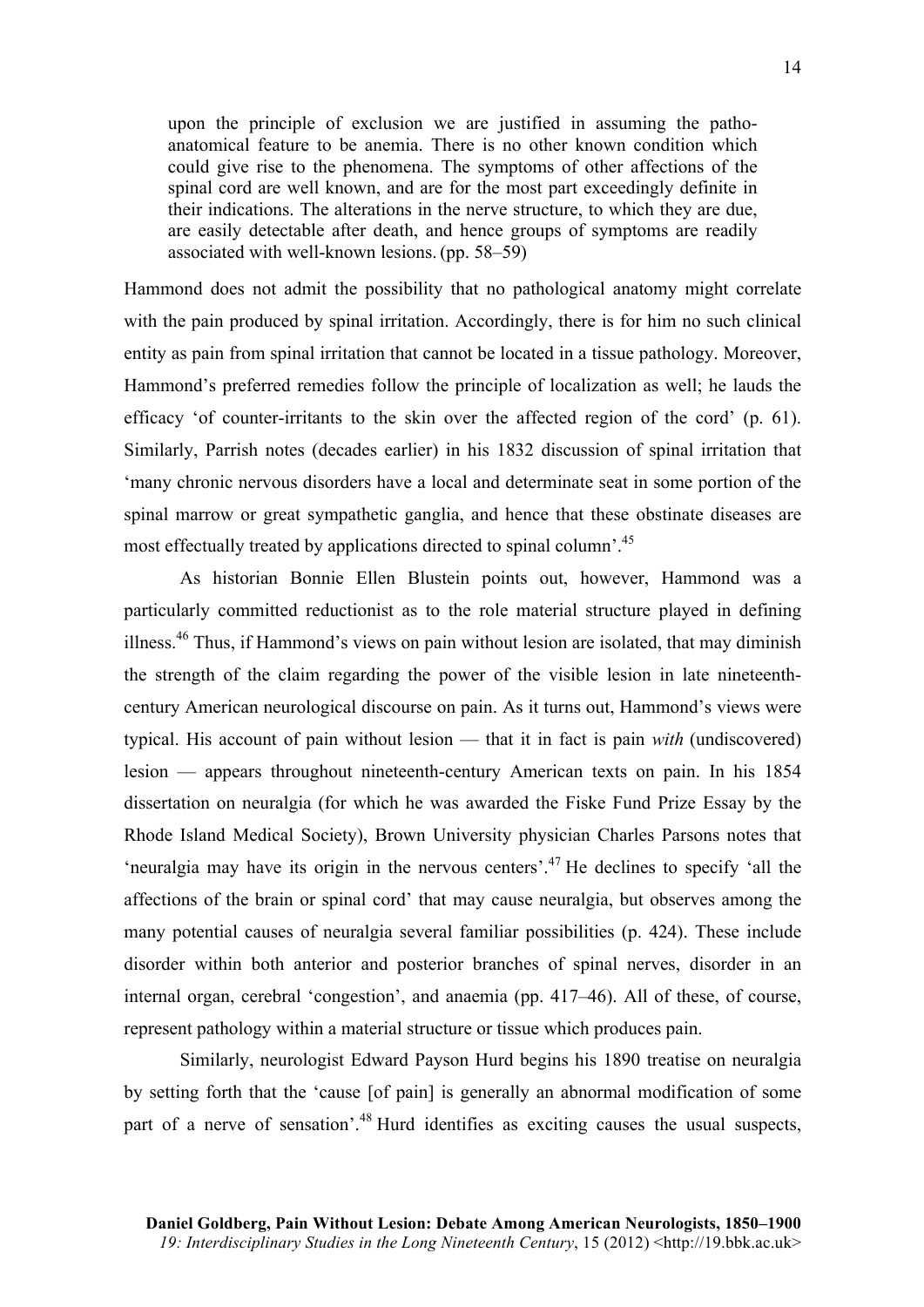upon the principle of exclusion we are justified in assuming the pathoanatomical feature to be anemia. There is no other known condition which could give rise to the phenomena. The symptoms of other affections of the spinal cord are well known, and are for the most part exceedingly definite in their indications. The alterations in the nerve structure, to which they are due, are easily detectable after death, and hence groups of symptoms are readily associated with well-known lesions. (pp. 58–59)

Hammond does not admit the possibility that no pathological anatomy might correlate with the pain produced by spinal irritation. Accordingly, there is for him no such clinical entity as pain from spinal irritation that cannot be located in a tissue pathology. Moreover, Hammond's preferred remedies follow the principle of localization as well; he lauds the efficacy 'of counter-irritants to the skin over the affected region of the cord' (p. 61). Similarly, Parrish notes (decades earlier) in his 1832 discussion of spinal irritation that 'many chronic nervous disorders have a local and determinate seat in some portion of the spinal marrow or great sympathetic ganglia, and hence that these obstinate diseases are most effectually treated by applications directed to spinal column'.<sup>45</sup>

As historian Bonnie Ellen Blustein points out, however, Hammond was a particularly committed reductionist as to the role material structure played in defining illness.46 Thus, if Hammond's views on pain without lesion are isolated, that may diminish the strength of the claim regarding the power of the visible lesion in late nineteenthcentury American neurological discourse on pain. As it turns out, Hammond's views were typical. His account of pain without lesion — that it in fact is pain *with* (undiscovered) lesion — appears throughout nineteenth-century American texts on pain. In his 1854 dissertation on neuralgia (for which he was awarded the Fiske Fund Prize Essay by the Rhode Island Medical Society), Brown University physician Charles Parsons notes that 'neuralgia may have its origin in the nervous centers'.<sup>47</sup> He declines to specify 'all the affections of the brain or spinal cord' that may cause neuralgia, but observes among the many potential causes of neuralgia several familiar possibilities (p. 424). These include disorder within both anterior and posterior branches of spinal nerves, disorder in an internal organ, cerebral 'congestion', and anaemia (pp. 417–46). All of these, of course, represent pathology within a material structure or tissue which produces pain.

Similarly, neurologist Edward Payson Hurd begins his 1890 treatise on neuralgia by setting forth that the 'cause [of pain] is generally an abnormal modification of some part of a nerve of sensation'.<sup>48</sup> Hurd identifies as exciting causes the usual suspects,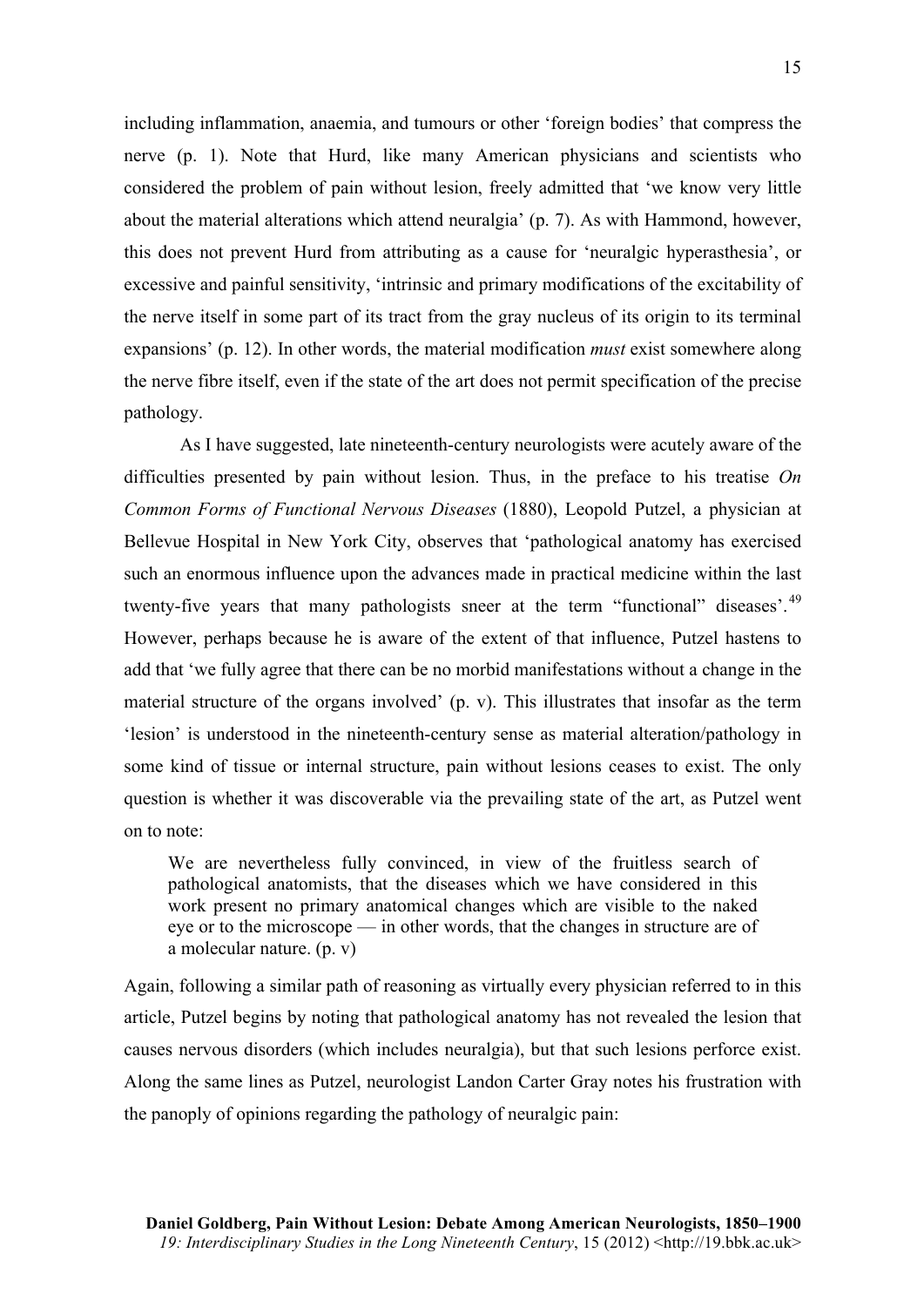including inflammation, anaemia, and tumours or other 'foreign bodies' that compress the nerve (p. 1). Note that Hurd, like many American physicians and scientists who considered the problem of pain without lesion, freely admitted that 'we know very little about the material alterations which attend neuralgia' (p. 7). As with Hammond, however, this does not prevent Hurd from attributing as a cause for 'neuralgic hyperasthesia', or excessive and painful sensitivity, 'intrinsic and primary modifications of the excitability of the nerve itself in some part of its tract from the gray nucleus of its origin to its terminal expansions' (p. 12). In other words, the material modification *must* exist somewhere along the nerve fibre itself, even if the state of the art does not permit specification of the precise pathology.

As I have suggested, late nineteenth-century neurologists were acutely aware of the difficulties presented by pain without lesion. Thus, in the preface to his treatise *On Common Forms of Functional Nervous Diseases* (1880), Leopold Putzel, a physician at Bellevue Hospital in New York City, observes that 'pathological anatomy has exercised such an enormous influence upon the advances made in practical medicine within the last twenty-five years that many pathologists sneer at the term "functional" diseases'.<sup>49</sup> However, perhaps because he is aware of the extent of that influence, Putzel hastens to add that 'we fully agree that there can be no morbid manifestations without a change in the material structure of the organs involved' (p. v). This illustrates that insofar as the term 'lesion' is understood in the nineteenth-century sense as material alteration/pathology in some kind of tissue or internal structure, pain without lesions ceases to exist. The only question is whether it was discoverable via the prevailing state of the art, as Putzel went on to note:

We are nevertheless fully convinced, in view of the fruitless search of pathological anatomists, that the diseases which we have considered in this work present no primary anatomical changes which are visible to the naked eye or to the microscope — in other words, that the changes in structure are of a molecular nature. (p. v)

Again, following a similar path of reasoning as virtually every physician referred to in this article, Putzel begins by noting that pathological anatomy has not revealed the lesion that causes nervous disorders (which includes neuralgia), but that such lesions perforce exist. Along the same lines as Putzel, neurologist Landon Carter Gray notes his frustration with the panoply of opinions regarding the pathology of neuralgic pain: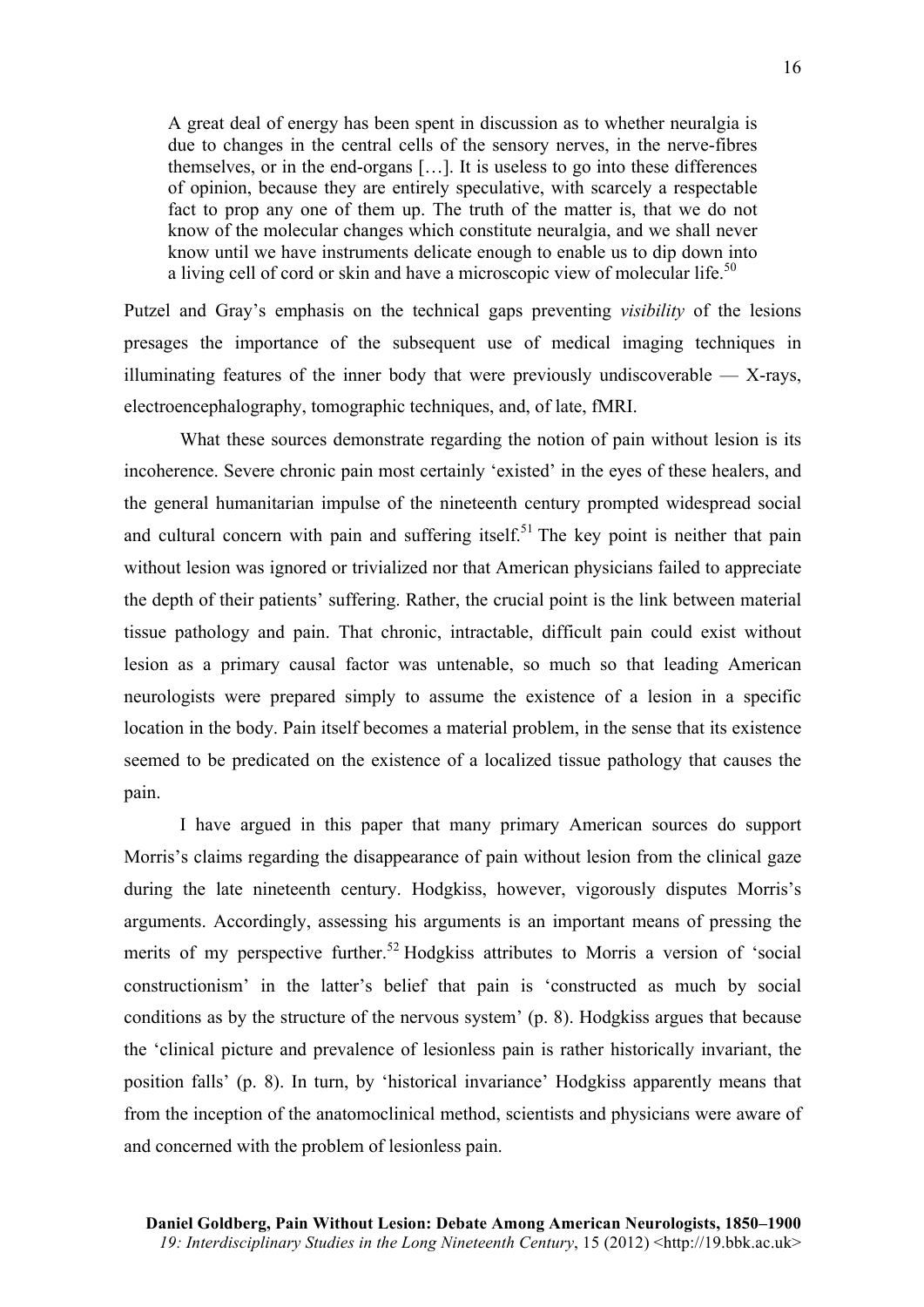A great deal of energy has been spent in discussion as to whether neuralgia is due to changes in the central cells of the sensory nerves, in the nerve-fibres themselves, or in the end-organs […]. It is useless to go into these differences of opinion, because they are entirely speculative, with scarcely a respectable fact to prop any one of them up. The truth of the matter is, that we do not know of the molecular changes which constitute neuralgia, and we shall never know until we have instruments delicate enough to enable us to dip down into a living cell of cord or skin and have a microscopic view of molecular life.<sup>50</sup>

Putzel and Gray's emphasis on the technical gaps preventing *visibility* of the lesions presages the importance of the subsequent use of medical imaging techniques in illuminating features of the inner body that were previously undiscoverable  $-$  X-rays, electroencephalography, tomographic techniques, and, of late, fMRI.

What these sources demonstrate regarding the notion of pain without lesion is its incoherence. Severe chronic pain most certainly 'existed' in the eyes of these healers, and the general humanitarian impulse of the nineteenth century prompted widespread social and cultural concern with pain and suffering itself.<sup>51</sup> The key point is neither that pain without lesion was ignored or trivialized nor that American physicians failed to appreciate the depth of their patients' suffering. Rather, the crucial point is the link between material tissue pathology and pain. That chronic, intractable, difficult pain could exist without lesion as a primary causal factor was untenable, so much so that leading American neurologists were prepared simply to assume the existence of a lesion in a specific location in the body. Pain itself becomes a material problem, in the sense that its existence seemed to be predicated on the existence of a localized tissue pathology that causes the pain.

I have argued in this paper that many primary American sources do support Morris's claims regarding the disappearance of pain without lesion from the clinical gaze during the late nineteenth century. Hodgkiss, however, vigorously disputes Morris's arguments. Accordingly, assessing his arguments is an important means of pressing the merits of my perspective further.<sup>52</sup> Hodgkiss attributes to Morris a version of 'social constructionism' in the latter's belief that pain is 'constructed as much by social conditions as by the structure of the nervous system' (p. 8). Hodgkiss argues that because the 'clinical picture and prevalence of lesionless pain is rather historically invariant, the position falls' (p. 8). In turn, by 'historical invariance' Hodgkiss apparently means that from the inception of the anatomoclinical method, scientists and physicians were aware of and concerned with the problem of lesionless pain.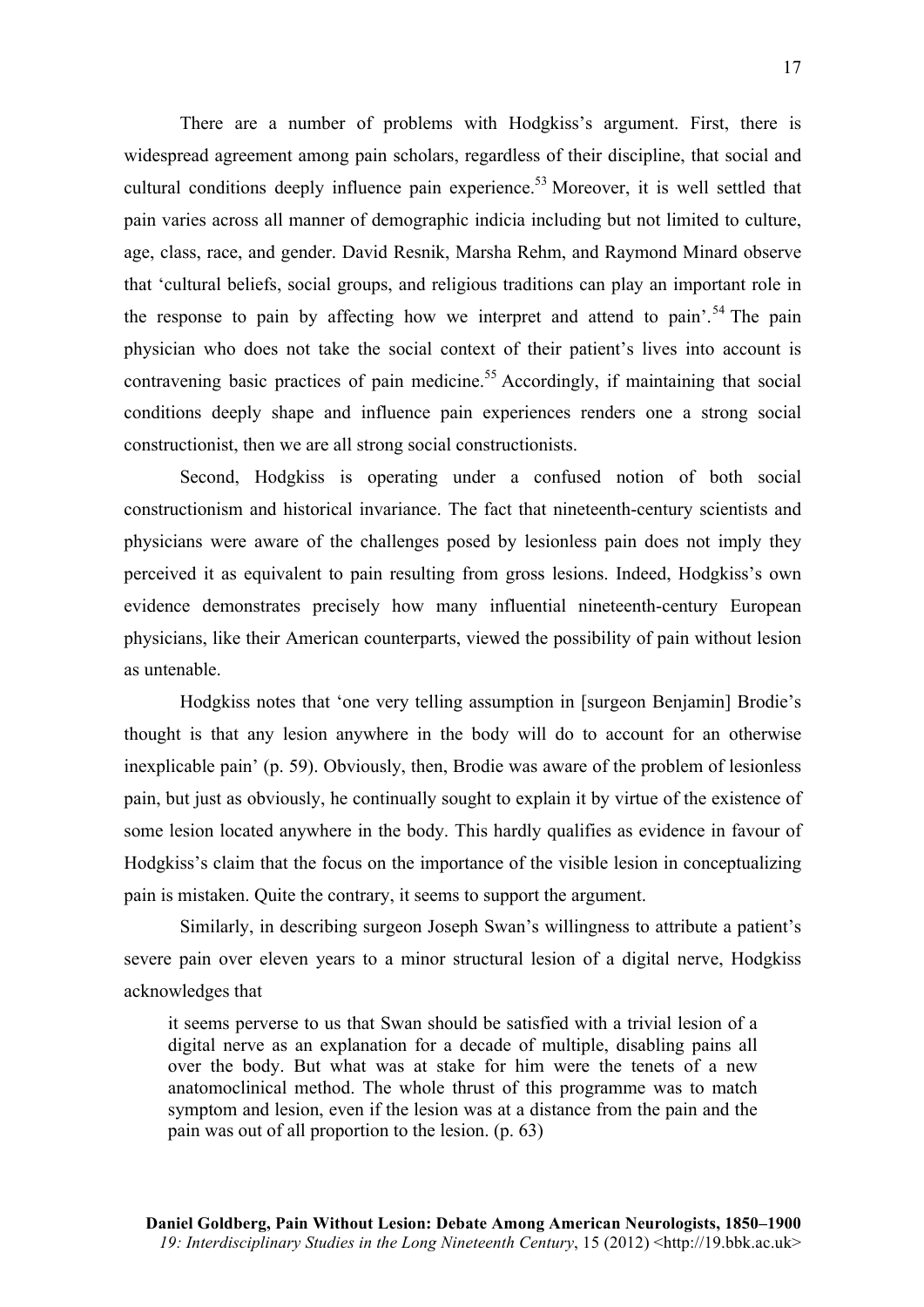There are a number of problems with Hodgkiss's argument. First, there is widespread agreement among pain scholars, regardless of their discipline, that social and cultural conditions deeply influence pain experience.<sup>53</sup> Moreover, it is well settled that pain varies across all manner of demographic indicia including but not limited to culture, age, class, race, and gender. David Resnik, Marsha Rehm, and Raymond Minard observe that 'cultural beliefs, social groups, and religious traditions can play an important role in the response to pain by affecting how we interpret and attend to pain<sup>'.54</sup> The pain physician who does not take the social context of their patient's lives into account is contravening basic practices of pain medicine.<sup>55</sup> Accordingly, if maintaining that social conditions deeply shape and influence pain experiences renders one a strong social constructionist, then we are all strong social constructionists.

Second, Hodgkiss is operating under a confused notion of both social constructionism and historical invariance. The fact that nineteenth-century scientists and physicians were aware of the challenges posed by lesionless pain does not imply they perceived it as equivalent to pain resulting from gross lesions. Indeed, Hodgkiss's own evidence demonstrates precisely how many influential nineteenth-century European physicians, like their American counterparts, viewed the possibility of pain without lesion as untenable.

Hodgkiss notes that 'one very telling assumption in [surgeon Benjamin] Brodie's thought is that any lesion anywhere in the body will do to account for an otherwise inexplicable pain' (p. 59). Obviously, then, Brodie was aware of the problem of lesionless pain, but just as obviously, he continually sought to explain it by virtue of the existence of some lesion located anywhere in the body. This hardly qualifies as evidence in favour of Hodgkiss's claim that the focus on the importance of the visible lesion in conceptualizing pain is mistaken. Quite the contrary, it seems to support the argument.

Similarly, in describing surgeon Joseph Swan's willingness to attribute a patient's severe pain over eleven years to a minor structural lesion of a digital nerve, Hodgkiss acknowledges that

it seems perverse to us that Swan should be satisfied with a trivial lesion of a digital nerve as an explanation for a decade of multiple, disabling pains all over the body. But what was at stake for him were the tenets of a new anatomoclinical method. The whole thrust of this programme was to match symptom and lesion, even if the lesion was at a distance from the pain and the pain was out of all proportion to the lesion. (p. 63)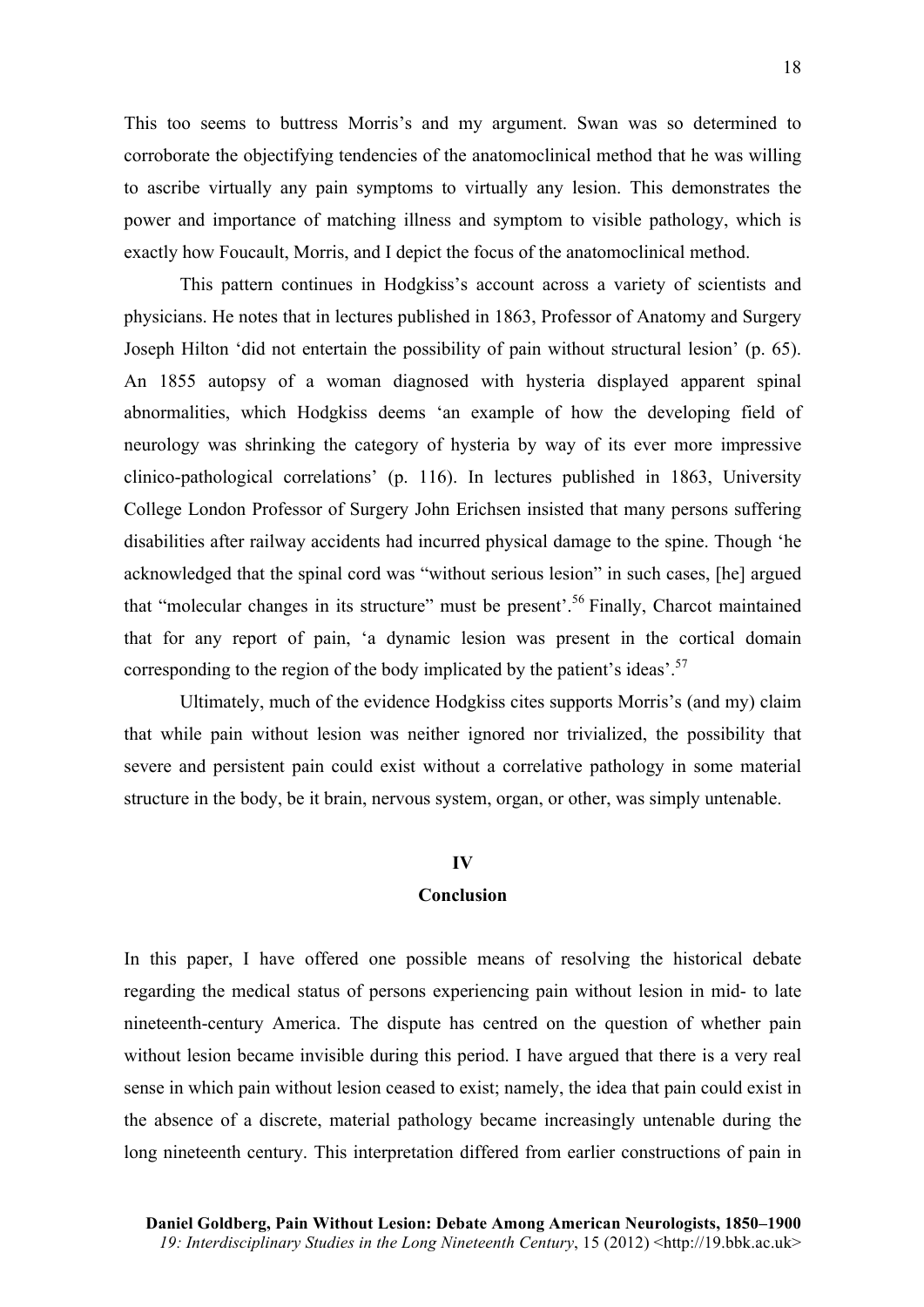This too seems to buttress Morris's and my argument. Swan was so determined to corroborate the objectifying tendencies of the anatomoclinical method that he was willing to ascribe virtually any pain symptoms to virtually any lesion. This demonstrates the power and importance of matching illness and symptom to visible pathology, which is exactly how Foucault, Morris, and I depict the focus of the anatomoclinical method.

This pattern continues in Hodgkiss's account across a variety of scientists and physicians. He notes that in lectures published in 1863, Professor of Anatomy and Surgery Joseph Hilton 'did not entertain the possibility of pain without structural lesion' (p. 65). An 1855 autopsy of a woman diagnosed with hysteria displayed apparent spinal abnormalities, which Hodgkiss deems 'an example of how the developing field of neurology was shrinking the category of hysteria by way of its ever more impressive clinico-pathological correlations' (p. 116). In lectures published in 1863, University College London Professor of Surgery John Erichsen insisted that many persons suffering disabilities after railway accidents had incurred physical damage to the spine. Though 'he acknowledged that the spinal cord was "without serious lesion" in such cases, [he] argued that "molecular changes in its structure" must be present'.<sup>56</sup> Finally, Charcot maintained that for any report of pain, 'a dynamic lesion was present in the cortical domain corresponding to the region of the body implicated by the patient's ideas'.<sup>57</sup>

Ultimately, much of the evidence Hodgkiss cites supports Morris's (and my) claim that while pain without lesion was neither ignored nor trivialized, the possibility that severe and persistent pain could exist without a correlative pathology in some material structure in the body, be it brain, nervous system, organ, or other, was simply untenable.

#### **IV**

#### **Conclusion**

In this paper, I have offered one possible means of resolving the historical debate regarding the medical status of persons experiencing pain without lesion in mid- to late nineteenth-century America. The dispute has centred on the question of whether pain without lesion became invisible during this period. I have argued that there is a very real sense in which pain without lesion ceased to exist; namely, the idea that pain could exist in the absence of a discrete, material pathology became increasingly untenable during the long nineteenth century. This interpretation differed from earlier constructions of pain in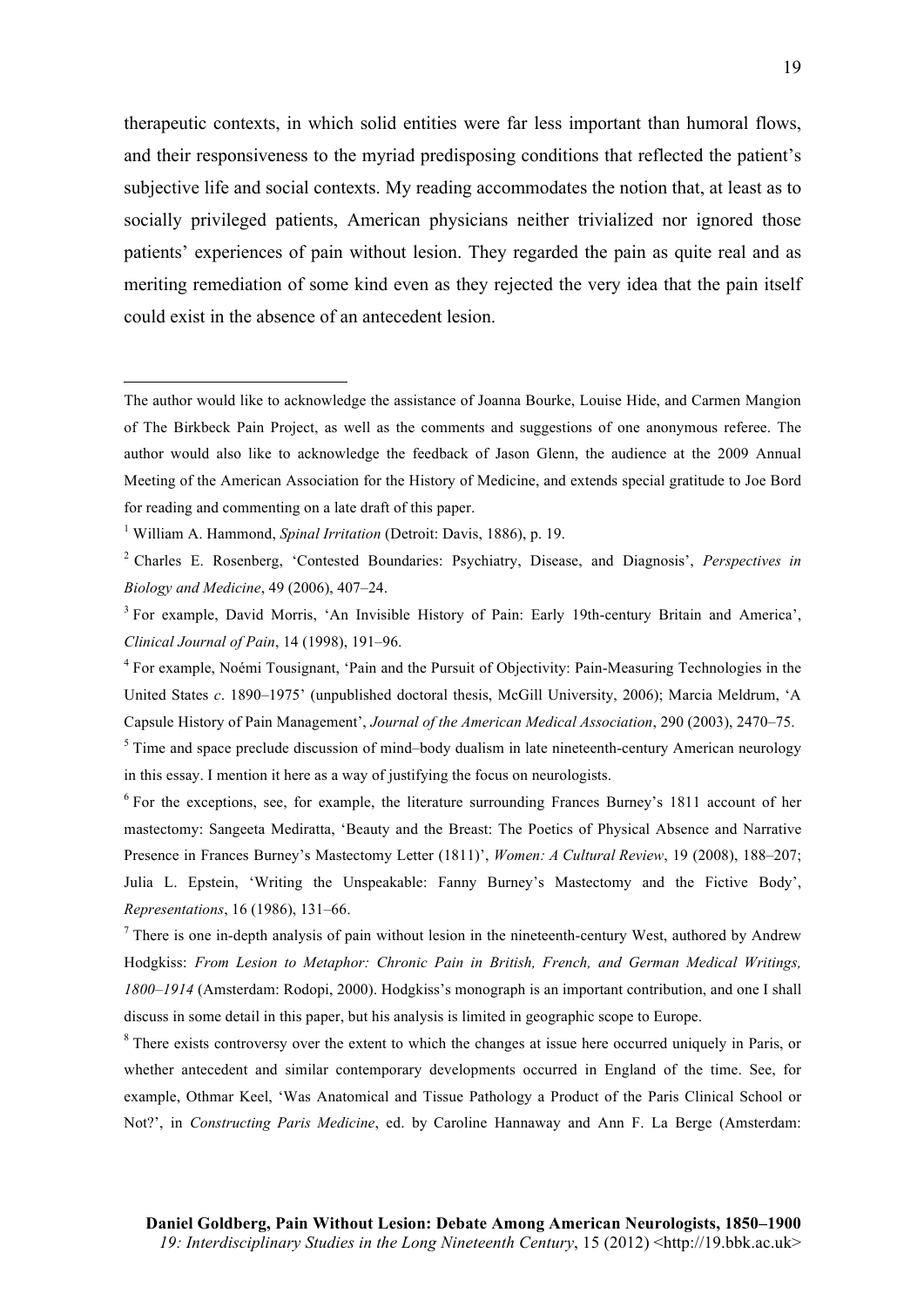therapeutic contexts, in which solid entities were far less important than humoral flows, and their responsiveness to the myriad predisposing conditions that reflected the patient's subjective life and social contexts. My reading accommodates the notion that, at least as to socially privileged patients, American physicians neither trivialized nor ignored those patients' experiences of pain without lesion. They regarded the pain as quite real and as meriting remediation of some kind even as they rejected the very idea that the pain itself could exist in the absence of an antecedent lesion.

 $\overline{a}$ 

The author would like to acknowledge the assistance of Joanna Bourke, Louise Hide, and Carmen Mangion of The Birkbeck Pain Project, as well as the comments and suggestions of one anonymous referee. The author would also like to acknowledge the feedback of Jason Glenn, the audience at the 2009 Annual Meeting of the American Association for the History of Medicine, and extends special gratitude to Joe Bord for reading and commenting on a late draft of this paper.

<sup>1</sup> William A. Hammond, *Spinal Irritation* (Detroit: Davis, 1886), p. 19.

<sup>2</sup> Charles E. Rosenberg, 'Contested Boundaries: Psychiatry, Disease, and Diagnosis', *Perspectives in Biology and Medicine*, 49 (2006), 407–24.

<sup>3</sup> For example, David Morris, 'An Invisible History of Pain: Early 19th-century Britain and America', *Clinical Journal of Pain*, 14 (1998), 191–96.

<sup>4</sup> For example, Noémi Tousignant, 'Pain and the Pursuit of Objectivity: Pain-Measuring Technologies in the United States *c*. 1890–1975' (unpublished doctoral thesis, McGill University, 2006); Marcia Meldrum, 'A Capsule History of Pain Management', *Journal of the American Medical Association*, 290 (2003), 2470–75.

<sup>&</sup>lt;sup>5</sup> Time and space preclude discussion of mind–body dualism in late nineteenth-century American neurology in this essay. I mention it here as a way of justifying the focus on neurologists.

<sup>6</sup> For the exceptions, see, for example, the literature surrounding Frances Burney's 1811 account of her mastectomy: Sangeeta Mediratta, 'Beauty and the Breast: The Poetics of Physical Absence and Narrative Presence in Frances Burney's Mastectomy Letter (1811)', *Women: A Cultural Review*, 19 (2008), 188–207; Julia L. Epstein, 'Writing the Unspeakable: Fanny Burney's Mastectomy and the Fictive Body', *Representations*, 16 (1986), 131–66.

 $<sup>7</sup>$  There is one in-depth analysis of pain without lesion in the nineteenth-century West, authored by Andrew</sup> Hodgkiss: *From Lesion to Metaphor: Chronic Pain in British, French, and German Medical Writings, 1800–1914* (Amsterdam: Rodopi, 2000). Hodgkiss's monograph is an important contribution, and one I shall discuss in some detail in this paper, but his analysis is limited in geographic scope to Europe.

<sup>&</sup>lt;sup>8</sup> There exists controversy over the extent to which the changes at issue here occurred uniquely in Paris, or whether antecedent and similar contemporary developments occurred in England of the time. See, for example, Othmar Keel, 'Was Anatomical and Tissue Pathology a Product of the Paris Clinical School or Not?', in *Constructing Paris Medicine*, ed. by Caroline Hannaway and Ann F. La Berge (Amsterdam: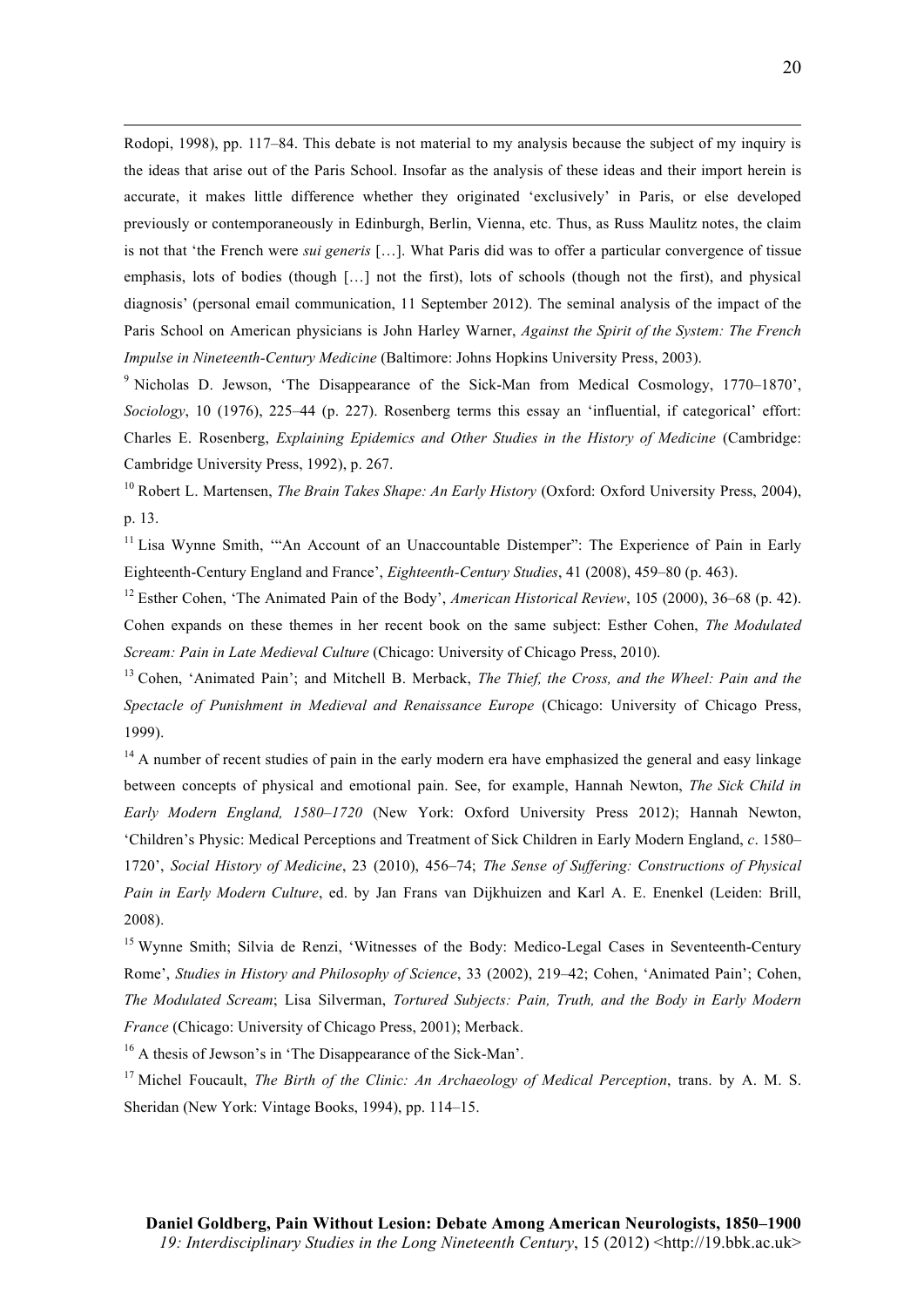Rodopi, 1998), pp. 117–84. This debate is not material to my analysis because the subject of my inquiry is the ideas that arise out of the Paris School. Insofar as the analysis of these ideas and their import herein is accurate, it makes little difference whether they originated 'exclusively' in Paris, or else developed previously or contemporaneously in Edinburgh, Berlin, Vienna, etc. Thus, as Russ Maulitz notes, the claim is not that 'the French were *sui generis* […]. What Paris did was to offer a particular convergence of tissue emphasis, lots of bodies (though […] not the first), lots of schools (though not the first), and physical diagnosis' (personal email communication, 11 September 2012). The seminal analysis of the impact of the Paris School on American physicians is John Harley Warner, *Against the Spirit of the System: The French Impulse in Nineteenth-Century Medicine* (Baltimore: Johns Hopkins University Press, 2003).

 $\overline{a}$ 

<sup>9</sup> Nicholas D. Jewson, 'The Disappearance of the Sick-Man from Medical Cosmology, 1770–1870', *Sociology*, 10 (1976), 225–44 (p. 227). Rosenberg terms this essay an 'influential, if categorical' effort: Charles E. Rosenberg, *Explaining Epidemics and Other Studies in the History of Medicine* (Cambridge: Cambridge University Press, 1992), p. 267.

<sup>10</sup> Robert L. Martensen, *The Brain Takes Shape: An Early History* (Oxford: Oxford University Press, 2004), p. 13.

<sup>11</sup> Lisa Wynne Smith, "An Account of an Unaccountable Distemper": The Experience of Pain in Early Eighteenth-Century England and France', *Eighteenth-Century Studies*, 41 (2008), 459–80 (p. 463).

<sup>12</sup> Esther Cohen, 'The Animated Pain of the Body', *American Historical Review*, 105 (2000), 36–68 (p. 42). Cohen expands on these themes in her recent book on the same subject: Esther Cohen, *The Modulated Scream: Pain in Late Medieval Culture* (Chicago: University of Chicago Press, 2010).

<sup>13</sup> Cohen, 'Animated Pain'; and Mitchell B. Merback, *The Thief, the Cross, and the Wheel: Pain and the Spectacle of Punishment in Medieval and Renaissance Europe* (Chicago: University of Chicago Press, 1999).

<sup>14</sup> A number of recent studies of pain in the early modern era have emphasized the general and easy linkage between concepts of physical and emotional pain. See, for example, Hannah Newton, *The Sick Child in Early Modern England, 1580–1720* (New York: Oxford University Press 2012); Hannah Newton, 'Children's Physic: Medical Perceptions and Treatment of Sick Children in Early Modern England, *c*. 1580– 1720', *Social History of Medicine*, 23 (2010), 456–74; *The Sense of Suffering: Constructions of Physical Pain in Early Modern Culture*, ed. by Jan Frans van Dijkhuizen and Karl A. E. Enenkel (Leiden: Brill, 2008).

<sup>15</sup> Wynne Smith; Silvia de Renzi, 'Witnesses of the Body: Medico-Legal Cases in Seventeenth-Century Rome', *Studies in History and Philosophy of Science*, 33 (2002), 219–42; Cohen, 'Animated Pain'; Cohen, *The Modulated Scream*; Lisa Silverman, *Tortured Subjects: Pain, Truth, and the Body in Early Modern France* (Chicago: University of Chicago Press, 2001); Merback.

<sup>16</sup> A thesis of Jewson's in 'The Disappearance of the Sick-Man'.

<sup>17</sup> Michel Foucault, *The Birth of the Clinic: An Archaeology of Medical Perception*, trans. by A. M. S. Sheridan (New York: Vintage Books, 1994), pp. 114–15.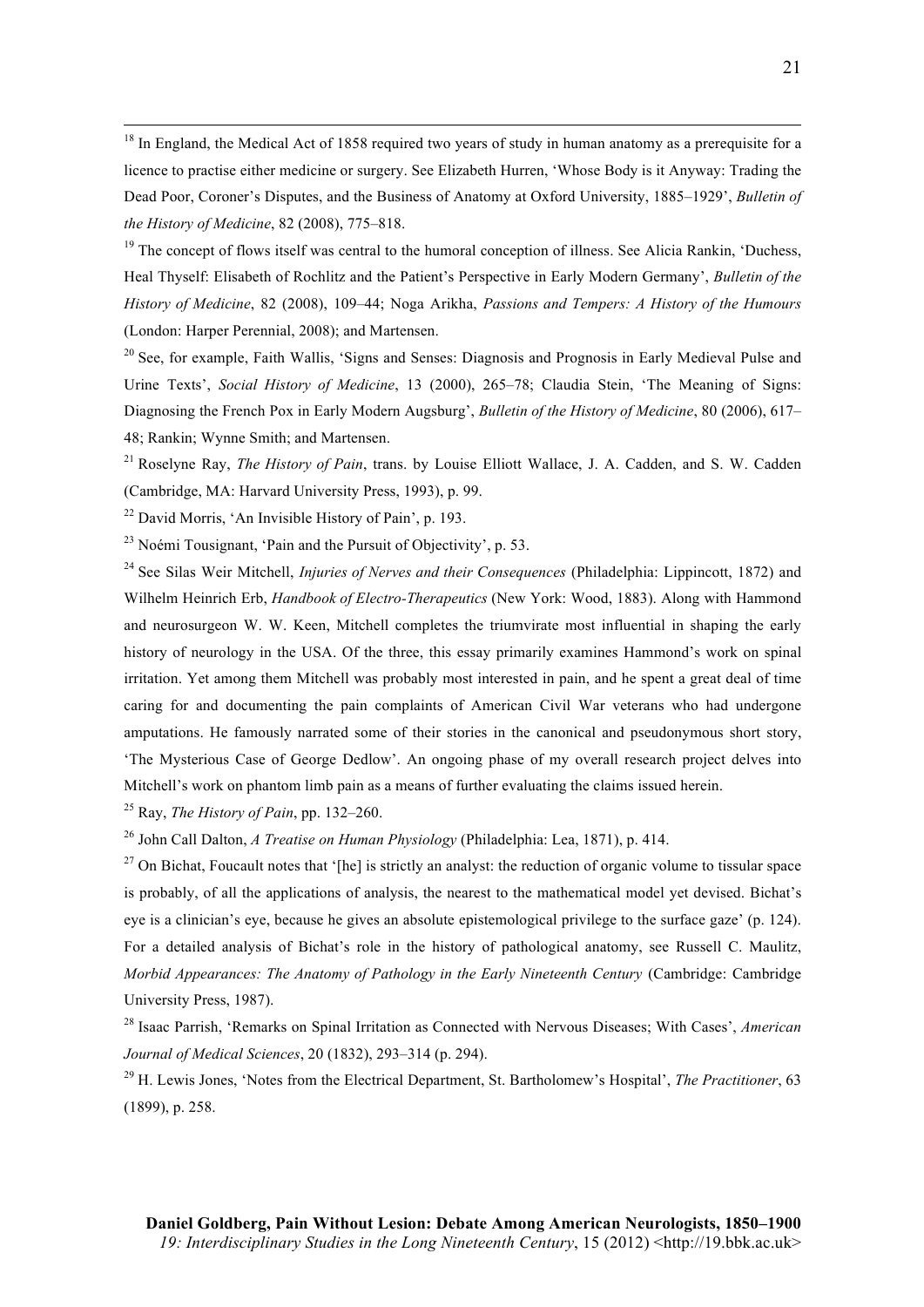<sup>18</sup> In England, the Medical Act of 1858 required two years of study in human anatomy as a prerequisite for a licence to practise either medicine or surgery. See Elizabeth Hurren, 'Whose Body is it Anyway: Trading the Dead Poor, Coroner's Disputes, and the Business of Anatomy at Oxford University, 1885–1929', *Bulletin of the History of Medicine*, 82 (2008), 775–818.

<sup>19</sup> The concept of flows itself was central to the humoral conception of illness. See Alicia Rankin, 'Duchess, Heal Thyself: Elisabeth of Rochlitz and the Patient's Perspective in Early Modern Germany', *Bulletin of the History of Medicine*, 82 (2008), 109–44; Noga Arikha, *Passions and Tempers: A History of the Humours* (London: Harper Perennial, 2008); and Martensen.

<sup>20</sup> See, for example, Faith Wallis, 'Signs and Senses: Diagnosis and Prognosis in Early Medieval Pulse and Urine Texts', *Social History of Medicine*, 13 (2000), 265–78; Claudia Stein, 'The Meaning of Signs: Diagnosing the French Pox in Early Modern Augsburg', *Bulletin of the History of Medicine*, 80 (2006), 617– 48; Rankin; Wynne Smith; and Martensen.

<sup>21</sup> Roselyne Ray, *The History of Pain*, trans. by Louise Elliott Wallace, J. A. Cadden, and S. W. Cadden (Cambridge, MA: Harvard University Press, 1993), p. 99.

<sup>22</sup> David Morris, 'An Invisible History of Pain', p. 193.

 $^{23}$  Noémi Tousignant, 'Pain and the Pursuit of Objectivity', p. 53.

<sup>24</sup> See Silas Weir Mitchell, *Injuries of Nerves and their Consequences* (Philadelphia: Lippincott, 1872) and Wilhelm Heinrich Erb, *Handbook of Electro-Therapeutics* (New York: Wood, 1883). Along with Hammond and neurosurgeon W. W. Keen, Mitchell completes the triumvirate most influential in shaping the early history of neurology in the USA. Of the three, this essay primarily examines Hammond's work on spinal irritation. Yet among them Mitchell was probably most interested in pain, and he spent a great deal of time caring for and documenting the pain complaints of American Civil War veterans who had undergone amputations. He famously narrated some of their stories in the canonical and pseudonymous short story, 'The Mysterious Case of George Dedlow'. An ongoing phase of my overall research project delves into Mitchell's work on phantom limb pain as a means of further evaluating the claims issued herein.

<sup>25</sup> Ray, *The History of Pain*, pp. 132–260.

<sup>26</sup> John Call Dalton, *A Treatise on Human Physiology* (Philadelphia: Lea, 1871), p. 414.

<sup>27</sup> On Bichat, Foucault notes that '[he] is strictly an analyst: the reduction of organic volume to tissular space is probably, of all the applications of analysis, the nearest to the mathematical model yet devised. Bichat's eye is a clinician's eye, because he gives an absolute epistemological privilege to the surface gaze' (p. 124). For a detailed analysis of Bichat's role in the history of pathological anatomy, see Russell C. Maulitz, *Morbid Appearances: The Anatomy of Pathology in the Early Nineteenth Century* (Cambridge: Cambridge University Press, 1987).

<sup>28</sup> Isaac Parrish, 'Remarks on Spinal Irritation as Connected with Nervous Diseases; With Cases', *American Journal of Medical Sciences*, 20 (1832), 293–314 (p. 294).

<sup>29</sup> H. Lewis Jones, 'Notes from the Electrical Department, St. Bartholomew's Hospital', *The Practitioner*, 63 (1899), p. 258.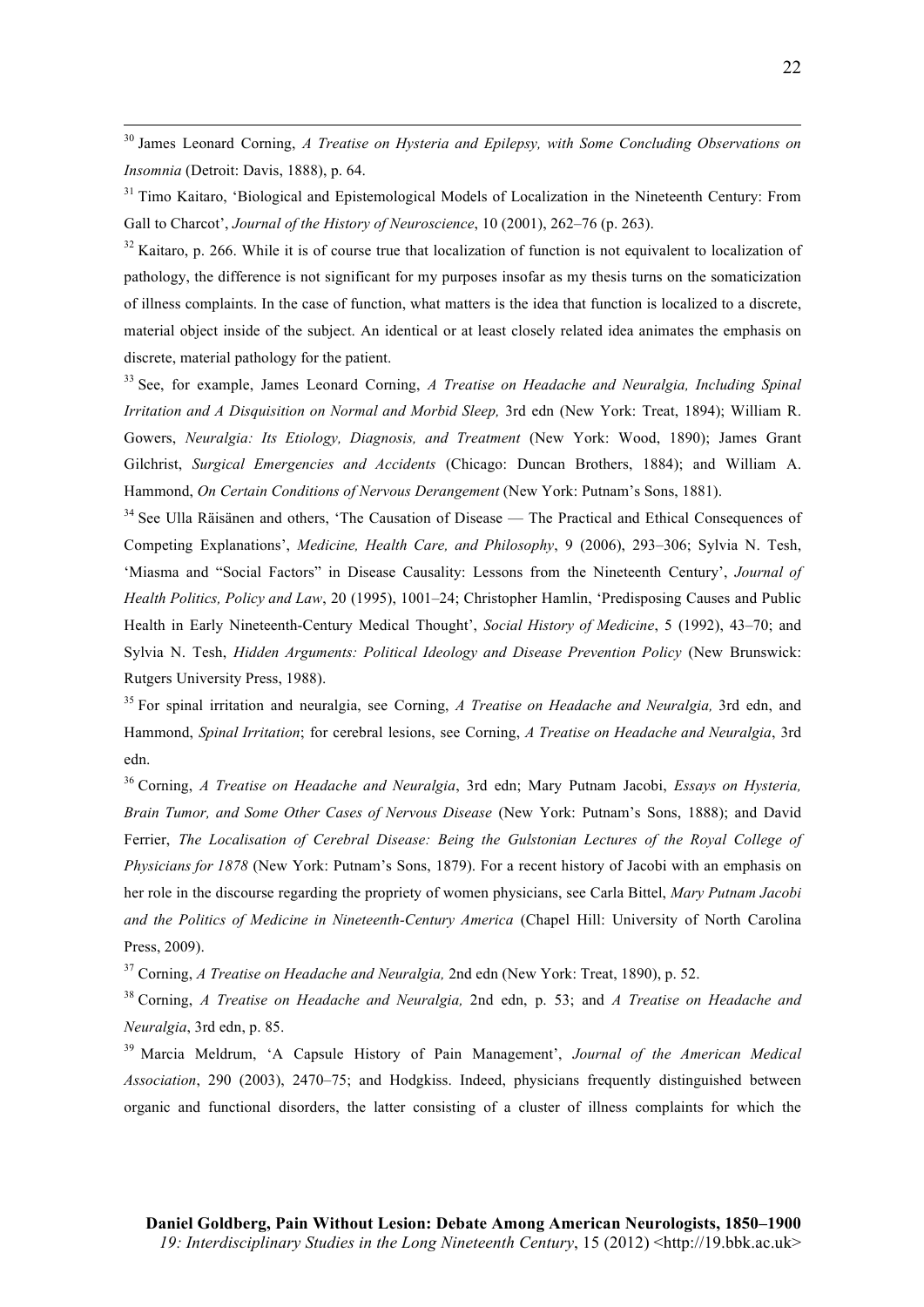<sup>30</sup> James Leonard Corning, *A Treatise on Hysteria and Epilepsy, with Some Concluding Observations on Insomnia* (Detroit: Davis, 1888), p. 64.

<sup>31</sup> Timo Kaitaro, 'Biological and Epistemological Models of Localization in the Nineteenth Century: From Gall to Charcot', *Journal of the History of Neuroscience*, 10 (2001), 262–76 (p. 263).

 $32$  Kaitaro, p. 266. While it is of course true that localization of function is not equivalent to localization of pathology, the difference is not significant for my purposes insofar as my thesis turns on the somaticization of illness complaints. In the case of function, what matters is the idea that function is localized to a discrete, material object inside of the subject. An identical or at least closely related idea animates the emphasis on discrete, material pathology for the patient.

<sup>33</sup> See, for example, James Leonard Corning, *A Treatise on Headache and Neuralgia, Including Spinal Irritation and A Disquisition on Normal and Morbid Sleep,* 3rd edn (New York: Treat, 1894); William R. Gowers, *Neuralgia: Its Etiology, Diagnosis, and Treatment* (New York: Wood, 1890); James Grant Gilchrist, *Surgical Emergencies and Accidents* (Chicago: Duncan Brothers, 1884); and William A. Hammond, *On Certain Conditions of Nervous Derangement* (New York: Putnam's Sons, 1881).

<sup>34</sup> See Ulla Räisänen and others, 'The Causation of Disease — The Practical and Ethical Consequences of Competing Explanations', *Medicine, Health Care, and Philosophy*, 9 (2006), 293–306; Sylvia N. Tesh, 'Miasma and "Social Factors" in Disease Causality: Lessons from the Nineteenth Century', *Journal of Health Politics, Policy and Law*, 20 (1995), 1001–24; Christopher Hamlin, 'Predisposing Causes and Public Health in Early Nineteenth-Century Medical Thought', *Social History of Medicine*, 5 (1992), 43–70; and Sylvia N. Tesh, *Hidden Arguments: Political Ideology and Disease Prevention Policy* (New Brunswick: Rutgers University Press, 1988).

<sup>35</sup> For spinal irritation and neuralgia, see Corning, *A Treatise on Headache and Neuralgia,* 3rd edn, and Hammond, *Spinal Irritation*; for cerebral lesions, see Corning, *A Treatise on Headache and Neuralgia*, 3rd edn.

<sup>36</sup> Corning, *A Treatise on Headache and Neuralgia*, 3rd edn; Mary Putnam Jacobi, *Essays on Hysteria, Brain Tumor, and Some Other Cases of Nervous Disease* (New York: Putnam's Sons, 1888); and David Ferrier, *The Localisation of Cerebral Disease: Being the Gulstonian Lectures of the Royal College of Physicians for 1878* (New York: Putnam's Sons, 1879). For a recent history of Jacobi with an emphasis on her role in the discourse regarding the propriety of women physicians, see Carla Bittel, *Mary Putnam Jacobi and the Politics of Medicine in Nineteenth-Century America* (Chapel Hill: University of North Carolina Press, 2009).

<sup>37</sup> Corning, *A Treatise on Headache and Neuralgia,* 2nd edn (New York: Treat, 1890), p. 52.

<sup>38</sup> Corning, *A Treatise on Headache and Neuralgia,* 2nd edn, p. 53; and *A Treatise on Headache and Neuralgia*, 3rd edn, p. 85.

<sup>39</sup> Marcia Meldrum, 'A Capsule History of Pain Management', *Journal of the American Medical Association*, 290 (2003), 2470–75; and Hodgkiss. Indeed, physicians frequently distinguished between organic and functional disorders, the latter consisting of a cluster of illness complaints for which the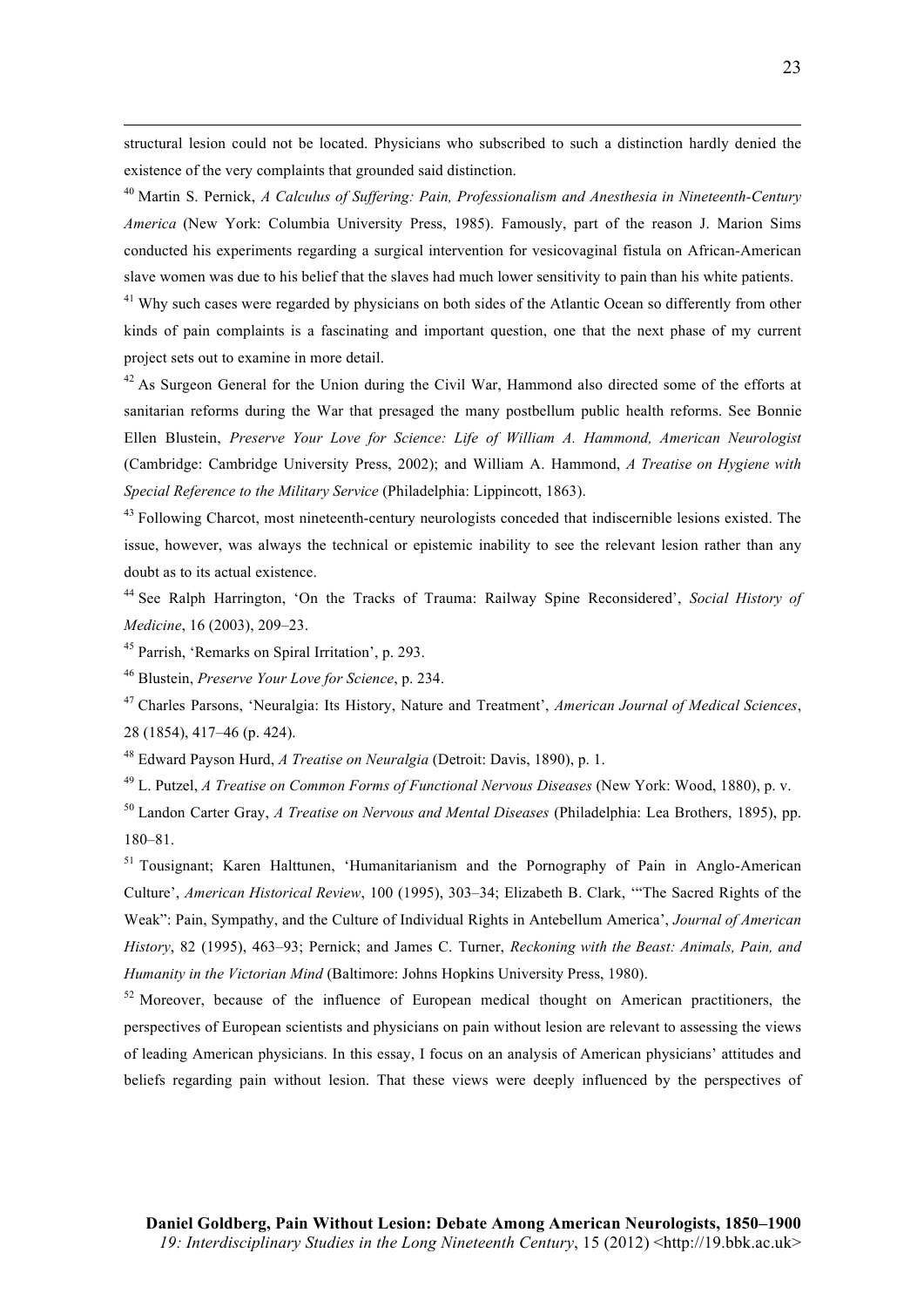structural lesion could not be located. Physicians who subscribed to such a distinction hardly denied the existence of the very complaints that grounded said distinction.

<sup>40</sup> Martin S. Pernick, *A Calculus of Suffering: Pain, Professionalism and Anesthesia in Nineteenth-Century America* (New York: Columbia University Press, 1985). Famously, part of the reason J. Marion Sims conducted his experiments regarding a surgical intervention for vesicovaginal fistula on African-American slave women was due to his belief that the slaves had much lower sensitivity to pain than his white patients.

<sup>41</sup> Why such cases were regarded by physicians on both sides of the Atlantic Ocean so differently from other kinds of pain complaints is a fascinating and important question, one that the next phase of my current project sets out to examine in more detail.

 $42$  As Surgeon General for the Union during the Civil War, Hammond also directed some of the efforts at sanitarian reforms during the War that presaged the many postbellum public health reforms. See Bonnie Ellen Blustein, *Preserve Your Love for Science: Life of William A. Hammond, American Neurologist* (Cambridge: Cambridge University Press, 2002); and William A. Hammond, *A Treatise on Hygiene with Special Reference to the Military Service* (Philadelphia: Lippincott, 1863).

<sup>43</sup> Following Charcot, most nineteenth-century neurologists conceded that indiscernible lesions existed. The issue, however, was always the technical or epistemic inability to see the relevant lesion rather than any doubt as to its actual existence.

<sup>44</sup> See Ralph Harrington, 'On the Tracks of Trauma: Railway Spine Reconsidered', *Social History of Medicine*, 16 (2003), 209–23.

<sup>45</sup> Parrish, 'Remarks on Spiral Irritation', p. 293.

 $\overline{a}$ 

<sup>46</sup> Blustein, *Preserve Your Love for Science*, p. 234.

<sup>47</sup> Charles Parsons, 'Neuralgia: Its History, Nature and Treatment', *American Journal of Medical Sciences*, 28 (1854), 417–46 (p. 424).

<sup>48</sup> Edward Payson Hurd, *A Treatise on Neuralgia* (Detroit: Davis, 1890), p. 1.

<sup>49</sup> L. Putzel, *A Treatise on Common Forms of Functional Nervous Diseases* (New York: Wood, 1880), p. v.

<sup>50</sup> Landon Carter Gray, *A Treatise on Nervous and Mental Diseases* (Philadelphia: Lea Brothers, 1895), pp. 180–81.

<sup>51</sup> Tousignant; Karen Halttunen, 'Humanitarianism and the Pornography of Pain in Anglo-American Culture', *American Historical Review*, 100 (1995), 303–34; Elizabeth B. Clark, '"The Sacred Rights of the Weak": Pain, Sympathy, and the Culture of Individual Rights in Antebellum America', *Journal of American History*, 82 (1995), 463–93; Pernick; and James C. Turner, *Reckoning with the Beast: Animals, Pain, and Humanity in the Victorian Mind* (Baltimore: Johns Hopkins University Press, 1980).

 $52$  Moreover, because of the influence of European medical thought on American practitioners, the perspectives of European scientists and physicians on pain without lesion are relevant to assessing the views of leading American physicians. In this essay, I focus on an analysis of American physicians' attitudes and beliefs regarding pain without lesion. That these views were deeply influenced by the perspectives of